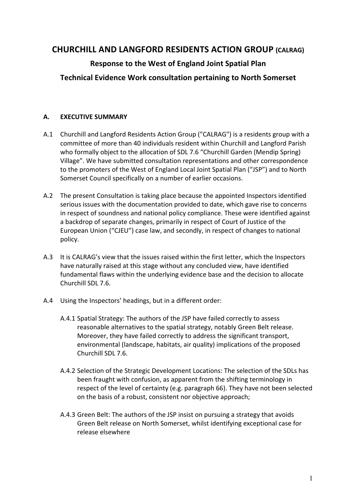# **CHURCHILL AND LANGFORD RESIDENTS ACTION GROUP (CALRAG)**

# **Response to the West of England Joint Spatial Plan**

# **Technical Evidence Work consultation pertaining to North Somerset**

# **A. EXECUTIVE SUMMARY**

- A.1 Churchill and Langford Residents Action Group ("CALRAG") is a residents group with a committee of more than 40 individuals resident within Churchill and Langford Parish who formally object to the allocation of SDL 7.6 "Churchill Garden (Mendip Spring) Village". We have submitted consultation representations and other correspondence to the promoters of the West of England Local Joint Spatial Plan ("JSP") and to North Somerset Council specifically on a number of earlier occasions.
- A.2 The present Consultation is taking place because the appointed Inspectors identified serious issues with the documentation provided to date, which gave rise to concerns in respect of soundness and national policy compliance. These were identified against a backdrop of separate changes, primarily in respect of Court of Justice of the European Union ("CJEU") case law, and secondly, in respect of changes to national policy.
- A.3 It is CALRAG's view that the issues raised within the first letter, which the Inspectors have naturally raised at this stage without any concluded view, have identified fundamental flaws within the underlying evidence base and the decision to allocate Churchill SDL 7.6.
- A.4 Using the Inspectors' headings, but in a different order:
	- A.4.1 Spatial Strategy: The authors of the JSP have failed correctly to assess reasonable alternatives to the spatial strategy, notably Green Belt release. Moreover, they have failed correctly to address the significant transport, environmental (landscape, habitats, air quality) implications of the proposed Churchill SDL 7.6.
	- A.4.2 Selection of the Strategic Development Locations: The selection of the SDLs has been fraught with confusion, as apparent from the shifting terminology in respect of the level of certainty (e.g. paragraph 66). They have not been selected on the basis of a robust, consistent nor objective approach;
	- A.4.3 Green Belt: The authors of the JSP insist on pursuing a strategy that avoids Green Belt release on North Somerset, whilst identifying exceptional case for release elsewhere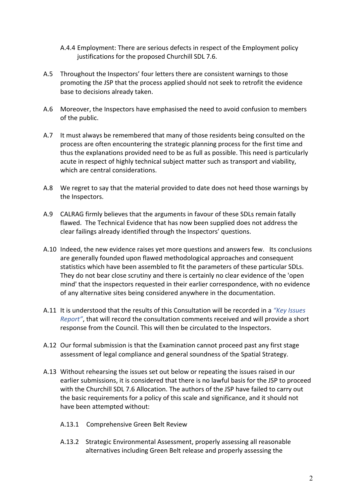- A.4.4 Employment: There are serious defects in respect of the Employment policy justifications for the proposed Churchill SDL 7.6.
- A.5 Throughout the Inspectors' four letters there are consistent warnings to those promoting the JSP that the process applied should not seek to retrofit the evidence base to decisions already taken.
- A.6 Moreover, the Inspectors have emphasised the need to avoid confusion to members of the public.
- A.7 It must always be remembered that many of those residents being consulted on the process are often encountering the strategic planning process for the first time and thus the explanations provided need to be as full as possible. This need is particularly acute in respect of highly technical subject matter such as transport and viability, which are central considerations.
- A.8 We regret to say that the material provided to date does not heed those warnings by the Inspectors.
- A.9 CALRAG firmly believes that the arguments in favour of these SDLs remain fatally flawed. The Technical Evidence that has now been supplied does not address the clear failings already identified through the Inspectors' questions.
- A.10 Indeed, the new evidence raises yet more questions and answers few. Its conclusions are generally founded upon flawed methodological approaches and consequent statistics which have been assembled to fit the parameters of these particular SDLs. They do not bear close scrutiny and there is certainly no clear evidence of the 'open mind' that the inspectors requested in their earlier correspondence, with no evidence of any alternative sites being considered anywhere in the documentation.
- A.11 It is understood that the results of this Consultation will be recorded in a "Key Issues *Report"*, that will record the consultation comments received and will provide a short response from the Council. This will then be circulated to the Inspectors.
- A.12 Our formal submission is that the Examination cannot proceed past any first stage assessment of legal compliance and general soundness of the Spatial Strategy.
- A.13 Without rehearsing the issues set out below or repeating the issues raised in our earlier submissions, it is considered that there is no lawful basis for the JSP to proceed with the Churchill SDL 7.6 Allocation. The authors of the JSP have failed to carry out the basic requirements for a policy of this scale and significance, and it should not have been attempted without:
	- A.13.1 Comprehensive Green Belt Review
	- A.13.2 Strategic Environmental Assessment, properly assessing all reasonable alternatives including Green Belt release and properly assessing the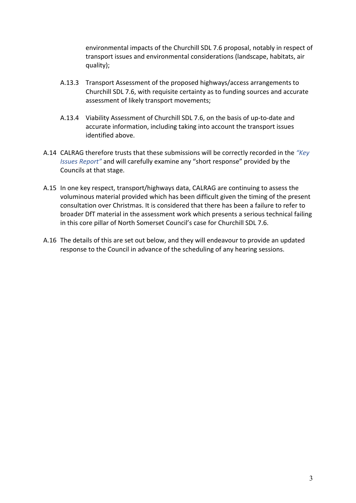environmental impacts of the Churchill SDL 7.6 proposal, notably in respect of transport issues and environmental considerations (landscape, habitats, air quality);

- A.13.3 Transport Assessment of the proposed highways/access arrangements to Churchill SDL 7.6, with requisite certainty as to funding sources and accurate assessment of likely transport movements;
- A.13.4 Viability Assessment of Churchill SDL 7.6, on the basis of up-to-date and accurate information, including taking into account the transport issues identified above.
- A.14 CALRAG therefore trusts that these submissions will be correctly recorded in the "Key *Issues Report*" and will carefully examine any "short response" provided by the Councils at that stage.
- A.15 In one key respect, transport/highways data, CALRAG are continuing to assess the voluminous material provided which has been difficult given the timing of the present consultation over Christmas. It is considered that there has been a failure to refer to broader DfT material in the assessment work which presents a serious technical failing in this core pillar of North Somerset Council's case for Churchill SDL 7.6.
- A.16 The details of this are set out below, and they will endeavour to provide an updated response to the Council in advance of the scheduling of any hearing sessions.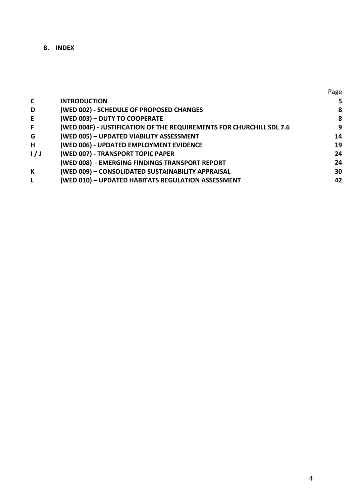**B. INDEX** 

|     |                                                                      | Page |
|-----|----------------------------------------------------------------------|------|
| C   | <b>INTRODUCTION</b>                                                  | 5    |
| D   | (WED 002) - SCHEDULE OF PROPOSED CHANGES                             | 8    |
| E.  | (WED 003) - DUTY TO COOPERATE                                        | 8    |
| F   | (WED 004F) - JUSTIFICATION OF THE REQUIREMENTS FOR CHURCHILL SDL 7.6 | 9    |
| G   | (WED 005) - UPDATED VIABILITY ASSESSMENT                             | 14   |
| Н.  | (WED 006) - UPDATED EMPLOYMENT EVIDENCE                              | 19   |
| 1/J | (WED 007) - TRANSPORT TOPIC PAPER                                    | 24   |
|     | (WED 008) - EMERGING FINDINGS TRANSPORT REPORT                       | 24   |
| K   | (WED 009) - CONSOLIDATED SUSTAINABILITY APPRAISAL                    | 30   |
| L.  | (WED 010) - UPDATED HABITATS REGULATION ASSESSMENT                   | 42   |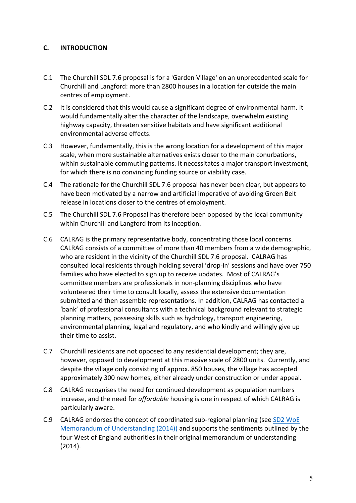# **C. INTRODUCTION**

- C.1 The Churchill SDL 7.6 proposal is for a 'Garden Village' on an unprecedented scale for Churchill and Langford: more than 2800 houses in a location far outside the main centres of employment.
- C.2 It is considered that this would cause a significant degree of environmental harm. It would fundamentally alter the character of the landscape, overwhelm existing highway capacity, threaten sensitive habitats and have significant additional environmental adverse effects.
- C.3 However, fundamentally, this is the wrong location for a development of this major scale, when more sustainable alternatives exists closer to the main conurbations, within sustainable commuting patterns. It necessitates a major transport investment, for which there is no convincing funding source or viability case.
- C.4 The rationale for the Churchill SDL 7.6 proposal has never been clear, but appears to have been motivated by a narrow and artificial imperative of avoiding Green Belt release in locations closer to the centres of employment.
- C.5 The Churchill SDL 7.6 Proposal has therefore been opposed by the local community within Churchill and Langford from its inception.
- C.6 CALRAG is the primary representative body, concentrating those local concerns. CALRAG consists of a committee of more than 40 members from a wide demographic, who are resident in the vicinity of the Churchill SDL 7.6 proposal. CALRAG has consulted local residents through holding several 'drop-in' sessions and have over 750 families who have elected to sign up to receive updates. Most of CALRAG's committee members are professionals in non-planning disciplines who have volunteered their time to consult locally, assess the extensive documentation submitted and then assemble representations. In addition, CALRAG has contacted a 'bank' of professional consultants with a technical background relevant to strategic planning matters, possessing skills such as hydrology, transport engineering, environmental planning, legal and regulatory, and who kindly and willingly give up their time to assist.
- C.7 Churchill residents are not opposed to any residential development; they are, however, opposed to development at this massive scale of 2800 units. Currently, and despite the village only consisting of approx. 850 houses, the village has accepted approximately 300 new homes, either already under construction or under appeal.
- C.8 CALRAG recognises the need for continued development as population numbers increase, and the need for *affordable* housing is one in respect of which CALRAG is particularly aware.
- C.9 CALRAG endorses the concept of coordinated sub-regional planning (see SD2 WoE Memorandum of Understanding  $(2014)$  and supports the sentiments outlined by the four West of England authorities in their original memorandum of understanding (2014).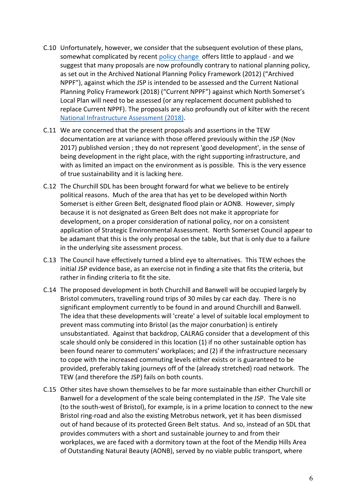- C.10 Unfortunately, however, we consider that the subsequent evolution of these plans, somewhat complicated by recent policy change offers little to applaud - and we suggest that many proposals are now profoundly contrary to national planning policy, as set out in the Archived National Planning Policy Framework (2012) ("Archived NPPF"), against which the JSP is intended to be assessed and the Current National Planning Policy Framework (2018) ("Current NPPF") against which North Somerset's Local Plan will need to be assessed (or any replacement document published to replace Current NPPF). The proposals are also profoundly out of kilter with the recent National Infrastructure Assessment (2018).
- C.11 We are concerned that the present proposals and assertions in the TEW documentation are at variance with those offered previously within the JSP (Nov 2017) published version; they do not represent 'good development', in the sense of being development in the right place, with the right supporting infrastructure, and with as limited an impact on the environment as is possible. This is the very essence of true sustainability and it is lacking here.
- C.12 The Churchill SDL has been brought forward for what we believe to be entirely political reasons. Much of the area that has yet to be developed within North Somerset is either Green Belt, designated flood plain or AONB. However, simply because it is not designated as Green Belt does not make it appropriate for development, on a proper consideration of national policy, nor on a consistent application of Strategic Environmental Assessment. North Somerset Council appear to be adamant that this is the only proposal on the table, but that is only due to a failure in the underlying site assessment process.
- C.13 The Council have effectively turned a blind eye to alternatives. This TEW echoes the initial JSP evidence base, as an exercise not in finding a site that fits the criteria, but rather in finding criteria to fit the site.
- C.14 The proposed development in both Churchill and Banwell will be occupied largely by Bristol commuters, travelling round trips of 30 miles by car each day. There is no significant employment currently to be found in and around Churchill and Banwell. The idea that these developments will 'create' a level of suitable local employment to prevent mass commuting into Bristol (as the major conurbation) is entirely unsubstantiated. Against that backdrop, CALRAG consider that a development of this scale should only be considered in this location (1) if no other sustainable option has been found nearer to commuters' workplaces; and (2) if the infrastructure necessary to cope with the increased commuting levels either exists or is guaranteed to be provided, preferably taking journeys off of the (already stretched) road network. The TEW (and therefore the JSP) fails on both counts.
- C.15 Other sites have shown themselves to be far more sustainable than either Churchill or Banwell for a development of the scale being contemplated in the JSP. The Vale site (to the south-west of Bristol), for example, is in a prime location to connect to the new Bristol ring-road and also the existing Metrobus network, yet it has been dismissed out of hand because of its protected Green Belt status. And so, instead of an SDL that provides commuters with a short and sustainable journey to and from their workplaces, we are faced with a dormitory town at the foot of the Mendip Hills Area of Outstanding Natural Beauty (AONB), served by no viable public transport, where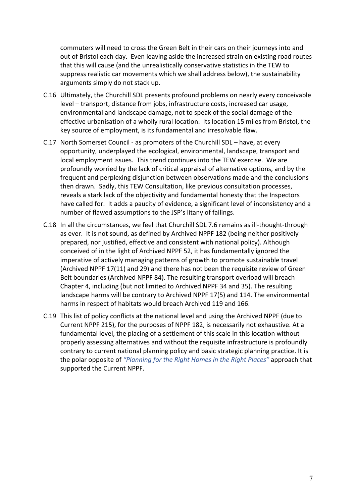commuters will need to cross the Green Belt in their cars on their journeys into and out of Bristol each day. Even leaving aside the increased strain on existing road routes that this will cause (and the unrealistically conservative statistics in the TEW to suppress realistic car movements which we shall address below), the sustainability arguments simply do not stack up.

- C.16 Ultimately, the Churchill SDL presents profound problems on nearly every conceivable level – transport, distance from jobs, infrastructure costs, increased car usage, environmental and landscape damage, not to speak of the social damage of the effective urbanisation of a wholly rural location. Its location 15 miles from Bristol, the key source of employment, is its fundamental and irresolvable flaw.
- C.17 North Somerset Council as promoters of the Churchill SDL have, at every opportunity, underplayed the ecological, environmental, landscape, transport and local employment issues. This trend continues into the TEW exercise. We are profoundly worried by the lack of critical appraisal of alternative options, and by the frequent and perplexing disjunction between observations made and the conclusions then drawn. Sadly, this TEW Consultation, like previous consultation processes, reveals a stark lack of the objectivity and fundamental honesty that the Inspectors have called for. It adds a paucity of evidence, a significant level of inconsistency and a number of flawed assumptions to the JSP's litany of failings.
- C.18 In all the circumstances, we feel that Churchill SDL 7.6 remains as ill-thought-through as ever. It is not sound, as defined by Archived NPPF 182 (being neither positively prepared, nor justified, effective and consistent with national policy). Although conceived of in the light of Archived NPPF 52, it has fundamentally ignored the imperative of actively managing patterns of growth to promote sustainable travel (Archived NPPF 17(11) and 29) and there has not been the requisite review of Green Belt boundaries (Archived NPPF 84). The resulting transport overload will breach Chapter 4, including (but not limited to Archived NPPF 34 and 35). The resulting landscape harms will be contrary to Archived NPPF 17(5) and 114. The environmental harms in respect of habitats would breach Archived 119 and 166.
- C.19 This list of policy conflicts at the national level and using the Archived NPPF (due to Current NPPF 215), for the purposes of NPPF 182, is necessarily not exhaustive. At a fundamental level, the placing of a settlement of this scale in this location without properly assessing alternatives and without the requisite infrastructure is profoundly contrary to current national planning policy and basic strategic planning practice. It is the polar opposite of "Planning for the Right Homes in the Right Places" approach that supported the Current NPPF.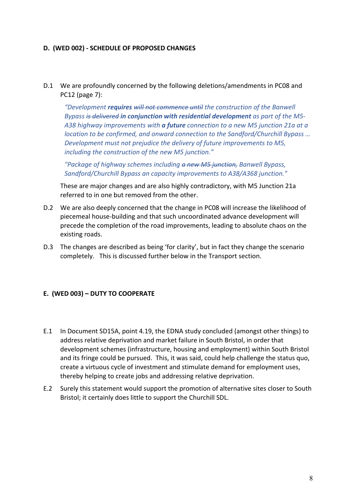### **D. (WED 002) - SCHEDULE OF PROPOSED CHANGES**

D.1 We are profoundly concerned by the following deletions/amendments in PC08 and PC12 (page 7):

*"Development requires will not commence until the construction of the Banwell Bypass* is delivered in conjunction with residential development as part of the M5-A38 highway improvements with **a future** connection to a new M5 junction 21a at a *location to be confirmed, and onward connection to the Sandford/Churchill Bypass ... Development must not prejudice the delivery of future improvements to M5,* including the construction of the new M5 junction."

*"Package of highway schemes including a new M5 junction, Banwell Bypass, Sandford/Churchill Bypass an capacity improvements to A38/A368 junction."*

These are major changes and are also highly contradictory, with M5 Junction 21a referred to in one but removed from the other.

- D.2 We are also deeply concerned that the change in PC08 will increase the likelihood of piecemeal house-building and that such uncoordinated advance development will precede the completion of the road improvements, leading to absolute chaos on the existing roads.
- D.3 The changes are described as being 'for clarity', but in fact they change the scenario completely. This is discussed further below in the Transport section.

#### **E.** (WED 003) – DUTY TO COOPERATE

- E.1 In Document SD15A, point 4.19, the EDNA study concluded (amongst other things) to address relative deprivation and market failure in South Bristol, in order that development schemes (infrastructure, housing and employment) within South Bristol and its fringe could be pursued. This, it was said, could help challenge the status quo, create a virtuous cycle of investment and stimulate demand for employment uses, thereby helping to create jobs and addressing relative deprivation.
- E.2 Surely this statement would support the promotion of alternative sites closer to South Bristol; it certainly does little to support the Churchill SDL.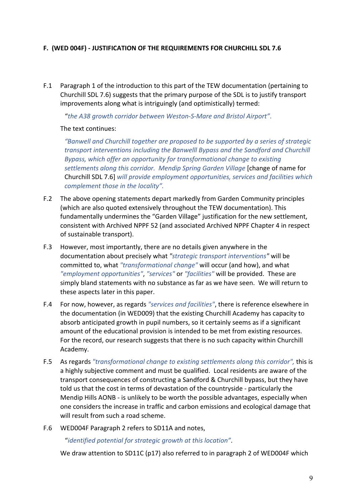# F. (WED 004F) - JUSTIFICATION OF THE REQUIREMENTS FOR CHURCHILL SDL 7.6

F.1 Paragraph 1 of the introduction to this part of the TEW documentation (pertaining to Churchill SDL 7.6) suggests that the primary purpose of the SDL is to justify transport improvements along what is intriguingly (and optimistically) termed:

"the A38 growth corridor between Weston-S-Mare and Bristol Airport".

## The text continues:

*"Banwell and Churchill together are proposed to be supported by a series of strategic transport interventions including the Banwelll Bypass and the Sandford and Churchill* Bypass, which offer an opportunity for transformational change to existing settlements along this corridor. Mendip Spring Garden Village **[change of name for** Churchill SDL 7.6] *will provide employment opportunities, services and facilities which* complement those in the locality".

- F.2 The above opening statements depart markedly from Garden Community principles (which are also quoted extensively throughout the TEW documentation). This fundamentally undermines the "Garden Village" justification for the new settlement, consistent with Archived NPPF 52 (and associated Archived NPPF Chapter 4 in respect of sustainable transport).
- F.3 However, most importantly, there are no details given anywhere in the documentation about precisely what "strategic transport interventions" will be committed to, what "transformational change" will occur (and how), and what "employment opportunities", "services" or "facilities" will be provided. These are simply bland statements with no substance as far as we have seen. We will return to these aspects later in this paper.
- F.4 For now, however, as regards *"services and facilities"*, there is reference elsewhere in the documentation (in WED009) that the existing Churchill Academy has capacity to absorb anticipated growth in pupil numbers, so it certainly seems as if a significant amount of the educational provision is intended to be met from existing resources. For the record, our research suggests that there is no such capacity within Churchill Academy.
- F.5 As regards "transformational change to existing settlements along this corridor", this is a highly subjective comment and must be qualified. Local residents are aware of the transport consequences of constructing a Sandford & Churchill bypass, but they have told us that the cost in terms of devastation of the countryside - particularly the Mendip Hills AONB - is unlikely to be worth the possible advantages, especially when one considers the increase in traffic and carbon emissions and ecological damage that will result from such a road scheme.
- F.6 WED004F Paragraph 2 refers to SD11A and notes,

"*identified potential for strategic growth at this location"*.

We draw attention to SD11C (p17) also referred to in paragraph 2 of WED004F which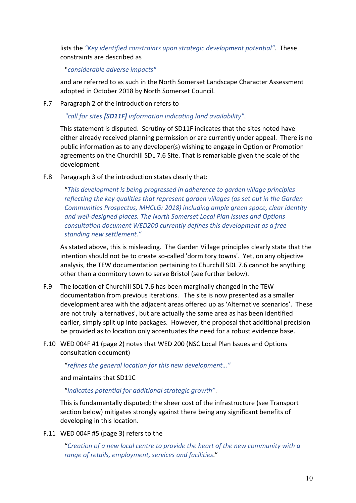lists the "Key identified constraints upon strategic development potential". These constraints are described as

"*considerable adverse impacts"*

and are referred to as such in the North Somerset Landscape Character Assessment adopted in October 2018 by North Somerset Council.

F.7 Paragraph 2 of the introduction refers to

"call for sites [SD11F] information indicating land availability".

This statement is disputed. Scrutiny of SD11F indicates that the sites noted have either already received planning permission or are currently under appeal. There is no public information as to any developer(s) wishing to engage in Option or Promotion agreements on the Churchill SDL 7.6 Site. That is remarkable given the scale of the development.

F.8 Paragraph 3 of the introduction states clearly that:

"This development is being progressed in adherence to garden village principles *reflecting the key qualities that represent garden villages (as set out in the Garden Communities Prospectus, MHCLG: 2018) including ample green space, clear identity* and well-designed places. The North Somerset Local Plan Issues and Options *consultation document WED200 currently defines this development as a free* standing new settlement."

As stated above, this is misleading. The Garden Village principles clearly state that the intention should not be to create so-called 'dormitory towns'. Yet, on any objective analysis, the TEW documentation pertaining to Churchill SDL 7.6 cannot be anything other than a dormitory town to serve Bristol (see further below).

- F.9 The location of Churchill SDL 7.6 has been marginally changed in the TEW documentation from previous iterations. The site is now presented as a smaller development area with the adjacent areas offered up as 'Alternative scenarios'. These are not truly 'alternatives', but are actually the same area as has been identified earlier, simply split up into packages. However, the proposal that additional precision be provided as to location only accentuates the need for a robust evidence base.
- F.10 WED 004F #1 (page 2) notes that WED 200 (NSC Local Plan Issues and Options consultation document)

"refines the general location for this new development..."

and maintains that SD11C

"*indicates potential for additional strategic growth"*.

This is fundamentally disputed; the sheer cost of the infrastructure (see Transport section below) mitigates strongly against there being any significant benefits of developing in this location.

F.11 WED 004F #5 (page 3) refers to the

"Creation of a new local centre to provide the heart of the new community with a range of retails, employment, services and facilities."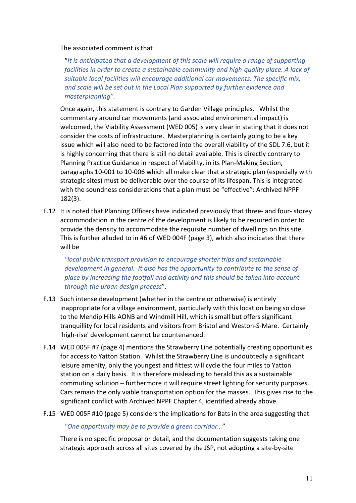#### The associated comment is that

"It is anticipated that a development of this scale will require a range of supporting *facilities in order to create a sustainable community and high-quality place. A lack of* suitable local facilities will encourage additional car movements. The specific mix, and scale will be set out in the Local Plan supported by further evidence and masterplanning".

Once again, this statement is contrary to Garden Village principles. Whilst the commentary around car movements (and associated environmental impact) is welcomed, the Viability Assessment (WED 005) is very clear in stating that it does not consider the costs of infrastructure. Masterplanning is certainly going to be a key issue which will also need to be factored into the overall viability of the SDL 7.6, but it is highly concerning that there is still no detail available. This is directly contrary to Planning Practice Guidance in respect of Viability, in its Plan-Making Section, paragraphs 10-001 to 10-006 which all make clear that a strategic plan (especially with strategic sites) must be deliverable over the course of its lifespan. This is integrated with the soundness considerations that a plan must be "effective": Archived NPPF 182(3).

F.12 It is noted that Planning Officers have indicated previously that three- and four- storey accommodation in the centre of the development is likely to be required in order to provide the density to accommodate the requisite number of dwellings on this site. This is further alluded to in #6 of WED 004F (page 3), which also indicates that there will be

*"local public transport provision to encourage shorter trips and sustainable development in general. It also has the opportunity to contribute to the sense of* place by increasing the footfall and activity and this should be taken into account *through the urban design process*". 

- F.13 Such intense development (whether in the centre or otherwise) is entirely inappropriate for a village environment, particularly with this location being so close to the Mendip Hills AONB and Windmill Hill, which is small but offers significant tranquillity for local residents and visitors from Bristol and Weston-S-Mare. Certainly 'high-rise' development cannot be countenanced.
- F.14 WED 005F #7 (page 4) mentions the Strawberry Line potentially creating opportunities for access to Yatton Station. Whilst the Strawberry Line is undoubtedly a significant leisure amenity, only the youngest and fittest will cycle the four miles to Yatton station on a daily basis. It is therefore misleading to herald this as a sustainable commuting solution – furthermore it will require street lighting for security purposes. Cars remain the only viable transportation option for the masses. This gives rise to the significant conflict with Archived NPPF Chapter 4, identified already above.
- F.15 WED 005F #10 (page 5) considers the implications for Bats in the area suggesting that

#### "One opportunity may be to provide a green corridor..."

There is no specific proposal or detail, and the documentation suggests taking one strategic approach across all sites covered by the JSP, not adopting a site-by-site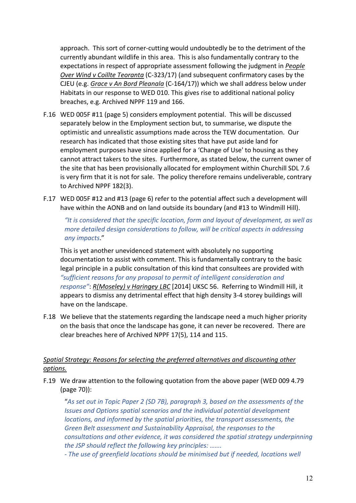approach. This sort of corner-cutting would undoubtedly be to the detriment of the currently abundant wildlife in this area. This is also fundamentally contrary to the expectations in respect of appropriate assessment following the judgment in *People Over* Wind v Coillte Teoranta (C-323/17) (and subsequent confirmatory cases by the CJEU (e.g. *Grace v An Bord Pleanala* (C-164/17)) which we shall address below under Habitats in our response to WED 010. This gives rise to additional national policy breaches, e.g. Archived NPPF 119 and 166.

- F.16 WED 005F #11 (page 5) considers employment potential. This will be discussed separately below in the Employment section but, to summarise, we dispute the optimistic and unrealistic assumptions made across the TEW documentation. Our research has indicated that those existing sites that have put aside land for employment purposes have since applied for a 'Change of Use' to housing as they cannot attract takers to the sites. Furthermore, as stated below, the current owner of the site that has been provisionally allocated for employment within Churchill SDL 7.6 is very firm that it is not for sale. The policy therefore remains undeliverable, contrary to Archived NPPF 182(3).
- F.17 WED 005F #12 and #13 (page 6) refer to the potential affect such a development will have within the AONB and on land outside its boundary (and #13 to Windmill Hill).

"It is considered that the specific location, form and layout of development, as well as *more detailed design considerations to follow, will be critical aspects in addressing any impacts*." 

This is yet another unevidenced statement with absolutely no supporting documentation to assist with comment. This is fundamentally contrary to the basic legal principle in a public consultation of this kind that consultees are provided with "sufficient reasons for any proposal to permit of intelligent consideration and *response"*: *R(Moseley)* v Haringey LBC [2014] UKSC 56. Referring to Windmill Hill, it appears to dismiss any detrimental effect that high density 3-4 storey buildings will have on the landscape.

F.18 We believe that the statements regarding the landscape need a much higher priority on the basis that once the landscape has gone, it can never be recovered. There are clear breaches here of Archived NPPF 17(5), 114 and 115.

# Spatial Strategy: Reasons for selecting the preferred alternatives and discounting other *options.*

F.19 We draw attention to the following quotation from the above paper (WED 009 4.79 (page 70)):

"As set out in Topic Paper 2 (SD 7B), paragraph 3, based on the assessments of the *Issues and Options spatial scenarios and the individual potential development locations, and informed by the spatial priorities, the transport assessments, the* Green Belt assessment and Sustainability Appraisal, the responses to the *consultations and other evidence, it was considered the spatial strategy underpinning the JSP should reflect the following key principles: .......* 

*-* The use of areenfield locations should be minimised but if needed, locations well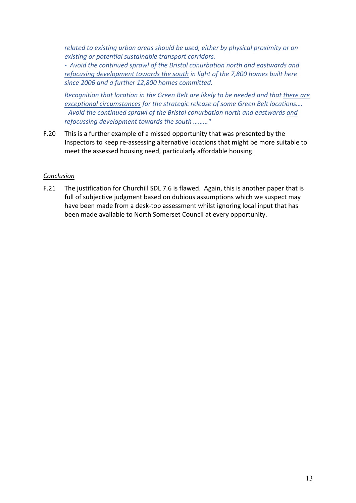*related to existing urban areas should be used, either by physical proximity or on existing or potential sustainable transport corridors.* 

- Avoid the continued sprawl of the Bristol conurbation north and eastwards and *refocusing development towards the south in light of the 7,800 homes built here* since 2006 and a further 12,800 homes committed.

*Recognition* that location in the Green Belt are likely to be needed and that there are *exceptional circumstances for the strategic release of some Green Belt locations....* - Avoid the continued sprawl of the Bristol conurbation north and eastwards and *refocussing development towards the south ........."* 

F.20 This is a further example of a missed opportunity that was presented by the Inspectors to keep re-assessing alternative locations that might be more suitable to meet the assessed housing need, particularly affordable housing.

## *Conclusion*

F.21 The justification for Churchill SDL 7.6 is flawed. Again, this is another paper that is full of subjective judgment based on dubious assumptions which we suspect may have been made from a desk-top assessment whilst ignoring local input that has been made available to North Somerset Council at every opportunity.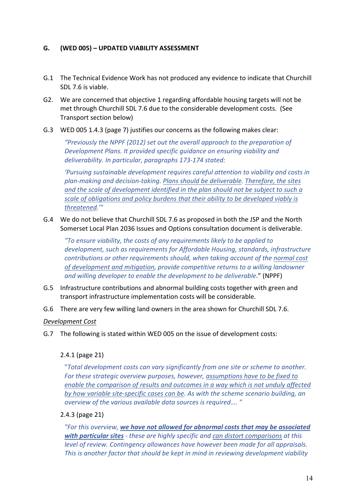## **G. (WED 005) – UPDATED VIABILITY ASSESSMENT**

- G.1 The Technical Evidence Work has not produced any evidence to indicate that Churchill SDL 7.6 is viable.
- G2. We are concerned that objective 1 regarding affordable housing targets will not be met through Churchill SDL 7.6 due to the considerable development costs. (See Transport section below)
- G.3 WED 005 1.4.3 (page 7) justifies our concerns as the following makes clear:

*"Previously the NPPF (2012) set out the overall approach to the preparation of Development Plans. It provided specific guidance on ensuring viability and* deliverability. In particular, paragraphs 173-174 stated:

'Pursuing sustainable development requires careful attention to viability and costs in plan-making and decision-taking. Plans should be deliverable. Therefore, the sites and the scale of development identified in the plan should not be subject to such a *scale of obligations and policy burdens that their ability to be developed viably is threatened.'"*

G.4 We do not believe that Churchill SDL 7.6 as proposed in both the JSP and the North Somerset Local Plan 2036 Issues and Options consultation document is deliverable.

"To ensure viability, the costs of any requirements likely to be applied to development, such as requirements for Affordable Housing, standards, infrastructure *contributions or other requirements should, when taking account of the normal cost* of development and mitigation, provide competitive returns to a willing landowner *and willing developer to enable the development to be deliverable."* (NPPF)

- G.5 Infrastructure contributions and abnormal building costs together with green and transport infrastructure implementation costs will be considerable.
- G.6 There are very few willing land owners in the area shown for Churchill SDL 7.6.

#### *Development Cost*

G.7 The following is stated within WED 005 on the issue of development costs:

#### 2.4.1 (page 21)

"*Total development costs can vary significantly from one site or scheme to another.* For these strategic overview purposes, however, assumptions have to be fixed to *enable the comparison of results and outcomes in a way which is not unduly affected* by how variable site-specific cases can be. As with the scheme scenario building, an *overview of the various available data sources is required....* "

### 2.4.3 (page 21)

"For this overview, we have not allowed for abnormal costs that may be associated **with particular sites** - these are highly specific and can distort comparisons at this *level* of review. Contingency allowances have however been made for all appraisals. This is another factor that should be kept in mind in reviewing development viability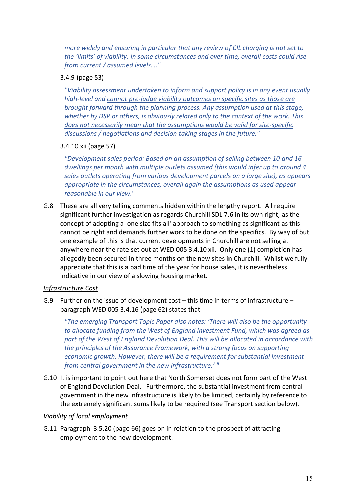*more widely and ensuring in particular that any review of CIL charging is not set to the 'limits' of viability. In some circumstances and over time, overall costs could rise from current / assumed levels…."*

# 3.4.9 (page 53)

**"Viability assessment undertaken to inform and support policy is in any event usually** *high-level and cannot pre-judge viability outcomes on specific sites as those are brought forward through the planning process. Any assumption used at this stage,* whether by DSP or others, is obviously related only to the context of the work. This does not necessarily mean that the assumptions would be valid for site-specific discussions / negotiations and decision taking stages in the future."

# 3.4.10 xii (page 57)

*"Development sales period: Based on an assumption of selling between 10 and 16* dwellings per month with multiple outlets assumed (this would infer up to around 4 sales outlets operating from various development parcels on a large site), as appears *appropriate in the circumstances, overall again the assumptions as used appear reasonable in our view.*"

G.8 These are all very telling comments hidden within the lengthy report. All require significant further investigation as regards Churchill SDL 7.6 in its own right, as the concept of adopting a 'one size fits all' approach to something as significant as this cannot be right and demands further work to be done on the specifics. By way of but one example of this is that current developments in Churchill are not selling at anywhere near the rate set out at WED 005 3.4.10 xii. Only one (1) completion has allegedly been secured in three months on the new sites in Churchill. Whilst we fully appreciate that this is a bad time of the year for house sales, it is nevertheless indicative in our view of a slowing housing market.

## *Infrastructure Cost*

G.9 Further on the issue of development cost – this time in terms of infrastructure – paragraph WED 005 3.4.16 (page 62) states that

**"The emerging Transport Topic Paper also notes: 'There will also be the opportunity** *to allocate funding from the West of England Investment Fund, which was agreed as* part of the West of England Devolution Deal. This will be allocated in accordance with *the principles of the Assurance Framework, with a strong focus on supporting economic growth. However, there will be a requirement for substantial investment from central government in the new infrastructure.'"* 

G.10 It is important to point out here that North Somerset does not form part of the West of England Devolution Deal. Furthermore, the substantial investment from central government in the new infrastructure is likely to be limited, certainly by reference to the extremely significant sums likely to be required (see Transport section below).

## *Viability* of local employment

G.11 Paragraph 3.5.20 (page 66) goes on in relation to the prospect of attracting employment to the new development: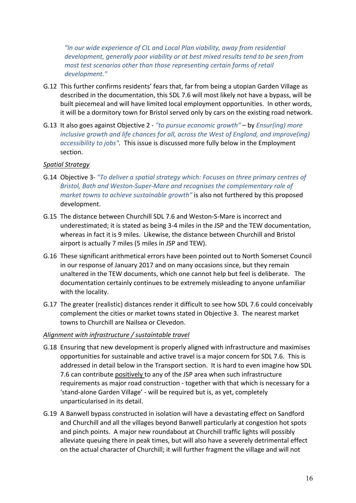*"In our wide experience of CIL and Local Plan viability, away from residential development, generally poor viability or at best mixed results tend to be seen from most test scenarios other than those representing certain forms of retail development."*

- G.12 This further confirms residents' fears that, far from being a utopian Garden Village as described in the documentation, this SDL 7.6 will most likely not have a bypass, will be built piecemeal and will have limited local employment opportunities. In other words, it will be a dormitory town for Bristol served only by cars on the existing road network.
- G.13 It also goes against Objective 2 "to pursue economic growth" by *Ensur(ing)* more *inclusive growth and life chances for all, across the West of England, and improve(ing) accessibility to jobs"*. This issue is discussed more fully below in the Employment section.

### *Spatial Strategy*

- G.14 Objective 3- "To deliver a spatial strategy which: Focuses on three primary centres of *Bristol, Bath and Weston-Super-Mare and recognises the complementary role of market towns to achieve sustainable growth"* is also not furthered by this proposed development.
- G.15 The distance between Churchill SDL 7.6 and Weston-S-Mare is incorrect and underestimated; it is stated as being 3-4 miles in the JSP and the TEW documentation, whereas in fact it is 9 miles. Likewise, the distance between Churchill and Bristol airport is actually 7 miles (5 miles in JSP and TEW).
- G.16 These significant arithmetical errors have been pointed out to North Somerset Council in our response of January 2017 and on many occasions since, but they remain unaltered in the TEW documents, which one cannot help but feel is deliberate. The documentation certainly continues to be extremely misleading to anyone unfamiliar with the locality.
- G.17 The greater (realistic) distances render it difficult to see how SDL 7.6 could conceivably complement the cities or market towns stated in Objective 3. The nearest market towns to Churchill are Nailsea or Clevedon.

#### Alignment with infrastructure / sustaintable travel

- G.18 Ensuring that new development is properly aligned with infrastructure and maximises opportunities for sustainable and active travel is a major concern for SDL 7.6. This is addressed in detail below in the Transport section. It is hard to even imagine how SDL 7.6 can contribute positively to any of the JSP area when such infrastructure requirements as major road construction - together with that which is necessary for a 'stand-alone Garden Village' - will be required but is, as yet, completely unparticularised in its detail.
- G.19 A Banwell bypass constructed in isolation will have a devastating effect on Sandford and Churchill and all the villages beyond Banwell particularly at congestion hot spots and pinch points. A major new roundabout at Churchill traffic lights will possibly alleviate queuing there in peak times, but will also have a severely detrimental effect on the actual character of Churchill; it will further fragment the village and will not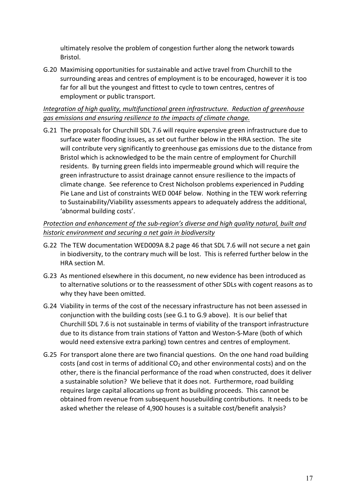ultimately resolve the problem of congestion further along the network towards Bristol. 

G.20 Maximising opportunities for sustainable and active travel from Churchill to the surrounding areas and centres of employment is to be encouraged, however it is too far for all but the youngest and fittest to cycle to town centres, centres of employment or public transport.

# *Integration of high quality, multifunctional green infrastructure. Reduction of greenhouse* gas emissions and ensuring resilience to the impacts of climate change.

G.21 The proposals for Churchill SDL 7.6 will require expensive green infrastructure due to surface water flooding issues, as set out further below in the HRA section. The site will contribute very significantly to greenhouse gas emissions due to the distance from Bristol which is acknowledged to be the main centre of employment for Churchill residents. By turning green fields into impermeable ground which will require the green infrastructure to assist drainage cannot ensure resilience to the impacts of climate change. See reference to Crest Nicholson problems experienced in Pudding Pie Lane and List of constraints WED 004F below. Nothing in the TEW work referring to Sustainability/Viability assessments appears to adequately address the additional, 'abnormal building costs'.

# *Protection* and enhancement of the sub-region's diverse and high quality natural, built and historic environment and securing a net gain in biodiversity

- G.22 The TEW documentation WED009A 8.2 page 46 that SDL 7.6 will not secure a net gain in biodiversity, to the contrary much will be lost. This is referred further below in the HRA section M.
- G.23 As mentioned elsewhere in this document, no new evidence has been introduced as to alternative solutions or to the reassessment of other SDLs with cogent reasons as to why they have been omitted.
- G.24 Viability in terms of the cost of the necessary infrastructure has not been assessed in conjunction with the building costs (see G.1 to G.9 above). It is our belief that Churchill SDL 7.6 is not sustainable in terms of viability of the transport infrastructure due to its distance from train stations of Yatton and Weston-S-Mare (both of which would need extensive extra parking) town centres and centres of employment.
- G.25 For transport alone there are two financial questions. On the one hand road building costs (and cost in terms of additional  $CO<sub>2</sub>$  and other environmental costs) and on the other, there is the financial performance of the road when constructed, does it deliver a sustainable solution? We believe that it does not. Furthermore, road building requires large capital allocations up front as building proceeds. This cannot be obtained from revenue from subsequent housebuilding contributions. It needs to be asked whether the release of 4,900 houses is a suitable cost/benefit analysis?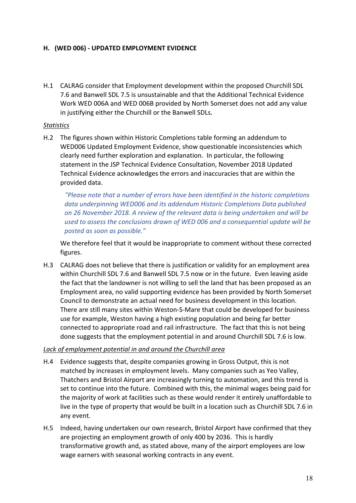### H. (WED 006) - UPDATED EMPLOYMENT EVIDENCE

H.1 CALRAG consider that Employment development within the proposed Churchill SDL 7.6 and Banwell SDL 7.5 is unsustainable and that the Additional Technical Evidence Work WED 006A and WED 006B provided by North Somerset does not add any value in justifying either the Churchill or the Banwell SDLs.

#### *Statistics*

H.2 The figures shown within Historic Completions table forming an addendum to WED006 Updated Employment Evidence, show questionable inconsistencies which clearly need further exploration and explanation. In particular, the following statement in the JSP Technical Evidence Consultation, November 2018 Updated Technical Evidence acknowledges the errors and inaccuracies that are within the provided data. 

*"Please note that a number of errors have been identified in the historic completions* data underpinning WED006 and its addendum Historic Completions Data published on 26 November 2018. A review of the relevant data is being undertaken and will be used to assess the conclusions drawn of WED 006 and a consequential update will be *posted as soon as possible."*

We therefore feel that it would be inappropriate to comment without these corrected figures.

H.3 CALRAG does not believe that there is justification or validity for an employment area within Churchill SDL 7.6 and Banwell SDL 7.5 now or in the future. Even leaving aside the fact that the landowner is not willing to sell the land that has been proposed as an Employment area, no valid supporting evidence has been provided by North Somerset Council to demonstrate an actual need for business development in this location. There are still many sites within Weston-S-Mare that could be developed for business use for example, Weston having a high existing population and being far better connected to appropriate road and rail infrastructure. The fact that this is not being done suggests that the employment potential in and around Churchill SDL 7.6 is low.

#### Lack of employment potential in and around the Churchill area

- H.4 Evidence suggests that, despite companies growing in Gross Output, this is not matched by increases in employment levels. Many companies such as Yeo Valley, Thatchers and Bristol Airport are increasingly turning to automation, and this trend is set to continue into the future. Combined with this, the minimal wages being paid for the majority of work at facilities such as these would render it entirely unaffordable to live in the type of property that would be built in a location such as Churchill SDL 7.6 in any event.
- H.5 Indeed, having undertaken our own research, Bristol Airport have confirmed that they are projecting an employment growth of only 400 by 2036. This is hardly transformative growth and, as stated above, many of the airport employees are low wage earners with seasonal working contracts in any event.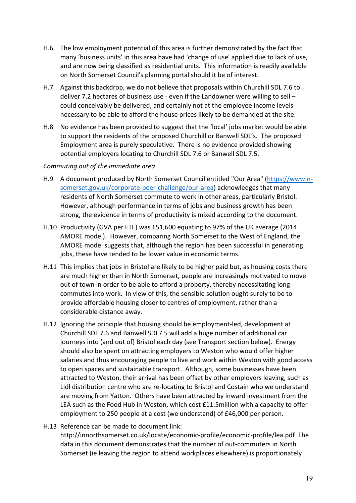- H.6 The low employment potential of this area is further demonstrated by the fact that many 'business units' in this area have had 'change of use' applied due to lack of use, and are now being classified as residential units. This information is readily available on North Somerset Council's planning portal should it be of interest.
- H.7 Against this backdrop, we do not believe that proposals within Churchill SDL 7.6 to deliver 7.2 hectares of business use - even if the Landowner were willing to sell  $$ could conceivably be delivered, and certainly not at the employee income levels necessary to be able to afford the house prices likely to be demanded at the site.
- H.8 No evidence has been provided to suggest that the 'local' jobs market would be able to support the residents of the proposed Churchill or Banwell SDL's. The proposed Employment area is purely speculative. There is no evidence provided showing potential employers locating to Churchill SDL 7.6 or Banwell SDL 7.5.

#### *Commuting out of the immediate area*

- H.9 A document produced by North Somerset Council entitled "Our Area" (https://www.nsomerset.gov.uk/corporate-peer-challenge/our-area) acknowledges that many residents of North Somerset commute to work in other areas, particularly Bristol. However, although performance in terms of jobs and business growth has been strong, the evidence in terms of productivity is mixed according to the document.
- H.10 Productivity (GVA per FTE) was £51,600 equating to 97% of the UK average (2014 AMORE model). However, comparing North Somerset to the West of England, the AMORE model suggests that, although the region has been successful in generating jobs, these have tended to be lower value in economic terms.
- H.11 This implies that jobs in Bristol are likely to be higher paid but, as housing costs there are much higher than in North Somerset, people are increasingly motivated to move out of town in order to be able to afford a property, thereby necessitating long commutes into work. In view of this, the sensible solution ought surely to be to provide affordable housing closer to centres of employment, rather than a considerable distance away.
- H.12 Ignoring the principle that housing should be employment-led, development at Churchill SDL 7.6 and Banwell SDL7.5 will add a huge number of additional car journeys into (and out of) Bristol each day (see Transport section below). Energy should also be spent on attracting employers to Weston who would offer higher salaries and thus encouraging people to live and work within Weston with good access to open spaces and sustainable transport. Although, some businesses have been attracted to Weston, their arrival has been offset by other employers leaving, such as Lidl distribution centre who are re-locating to Bristol and Costain who we understand are moving from Yatton. Others have been attracted by inward investment from the LEA such as the Food Hub in Weston, which cost  $£11.5$ million with a capacity to offer employment to 250 people at a cost (we understand) of £46,000 per person.
- H.13 Reference can be made to document link: http://innorthsomerset.co.uk/locate/economic-profile/economic-profile/lea.pdf The data in this document demonstrates that the number of out-commuters in North Somerset (ie leaving the region to attend workplaces elsewhere) is proportionately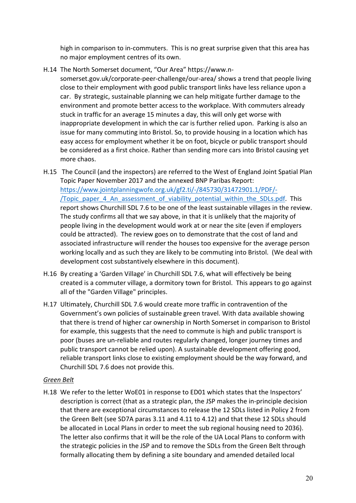high in comparison to in-commuters. This is no great surprise given that this area has no major employment centres of its own.

- H.14 The North Somerset document. "Our Area" https://www.n
	- somerset.gov.uk/corporate-peer-challenge/our-area/ shows a trend that people living close to their employment with good public transport links have less reliance upon a car. By strategic, sustainable planning we can help mitigate further damage to the environment and promote better access to the workplace. With commuters already stuck in traffic for an average 15 minutes a day, this will only get worse with inappropriate development in which the car is further relied upon. Parking is also an issue for many commuting into Bristol. So, to provide housing in a location which has easy access for employment whether it be on foot, bicycle or public transport should be considered as a first choice. Rather than sending more cars into Bristol causing yet more chaos.
- H.15 The Council (and the inspectors) are referred to the West of England Joint Spatial Plan Topic Paper November 2017 and the annexed BNP Paribas Report: https://www.jointplanningwofe.org.uk/gf2.ti/-/845730/31472901.1/PDF/- /Topic\_paper\_4\_An\_assessment\_of\_viability\_potential\_within\_the\_SDLs.pdf. This report shows Churchill SDL 7.6 to be one of the least sustainable villages in the review. The study confirms all that we say above, in that it is unlikely that the majority of people living in the development would work at or near the site (even if employers could be attracted). The review goes on to demonstrate that the cost of land and associated infrastructure will render the houses too expensive for the average person working locally and as such they are likely to be commuting into Bristol. (We deal with development cost substantively elsewhere in this document).
- H.16 By creating a 'Garden Village' in Churchill SDL 7.6, what will effectively be being created is a commuter village, a dormitory town for Bristol. This appears to go against all of the "Garden Village" principles.
- H.17 Ultimately, Churchill SDL 7.6 would create more traffic in contravention of the Government's own policies of sustainable green travel. With data available showing that there is trend of higher car ownership in North Somerset in comparison to Bristol for example, this suggests that the need to commute is high and public transport is poor (buses are un-reliable and routes regularly changed, longer journey times and public transport cannot be relied upon). A sustainable development offering good, reliable transport links close to existing employment should be the way forward, and Churchill SDL 7.6 does not provide this.

## *Green Belt*

H.18 We refer to the letter WoE01 in response to ED01 which states that the Inspectors' description is correct (that as a strategic plan, the JSP makes the in-principle decision that there are exceptional circumstances to release the 12 SDLs listed in Policy 2 from the Green Belt (see SD7A paras 3.11 and 4.11 to 4.12) and that these 12 SDLs should be allocated in Local Plans in order to meet the sub regional housing need to 2036). The letter also confirms that it will be the role of the UA Local Plans to conform with the strategic policies in the JSP and to remove the SDLs from the Green Belt through formally allocating them by defining a site boundary and amended detailed local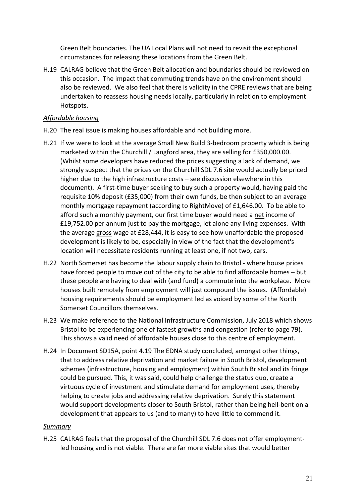Green Belt boundaries. The UA Local Plans will not need to revisit the exceptional circumstances for releasing these locations from the Green Belt.

H.19 CALRAG believe that the Green Belt allocation and boundaries should be reviewed on this occasion. The impact that commuting trends have on the environment should also be reviewed. We also feel that there is validity in the CPRE reviews that are being undertaken to reassess housing needs locally, particularly in relation to employment Hotspots. 

## *Affordable housing*

- H.20 The real issue is making houses affordable and not building more.
- H.21 If we were to look at the average Small New Build 3-bedroom property which is being marketed within the Churchill / Langford area, they are selling for £350,000.00. (Whilst some developers have reduced the prices suggesting a lack of demand, we strongly suspect that the prices on the Churchill SDL 7.6 site would actually be priced higher due to the high infrastructure costs – see discussion elsewhere in this document). A first-time buyer seeking to buy such a property would, having paid the requisite  $10\%$  deposit (£35,000) from their own funds, be then subject to an average monthly mortgage repayment (according to RightMove) of  $£1,646.00$ . To be able to afford such a monthly payment, our first time buyer would need a net income of £19,752.00 per annum just to pay the mortgage, let alone any living expenses. With the average gross wage at £28,444, it is easy to see how unaffordable the proposed development is likely to be, especially in view of the fact that the development's location will necessitate residents running at least one, if not two, cars.
- H.22 North Somerset has become the labour supply chain to Bristol where house prices have forced people to move out of the city to be able to find affordable homes – but these people are having to deal with (and fund) a commute into the workplace. More houses built remotely from employment will just compound the issues. (Affordable) housing requirements should be employment led as voiced by some of the North Somerset Councillors themselves.
- H.23 We make reference to the National Infrastructure Commission, July 2018 which shows Bristol to be experiencing one of fastest growths and congestion (refer to page 79). This shows a valid need of affordable houses close to this centre of employment.
- H.24 In Document SD15A, point 4.19 The EDNA study concluded, amongst other things, that to address relative deprivation and market failure in South Bristol, development schemes (infrastructure, housing and employment) within South Bristol and its fringe could be pursued. This, it was said, could help challenge the status quo, create a virtuous cycle of investment and stimulate demand for employment uses, thereby helping to create jobs and addressing relative deprivation. Surely this statement would support developments closer to South Bristol, rather than being hell-bent on a development that appears to us (and to many) to have little to commend it.

## *Summary*

H.25 CALRAG feels that the proposal of the Churchill SDL 7.6 does not offer employmentled housing and is not viable. There are far more viable sites that would better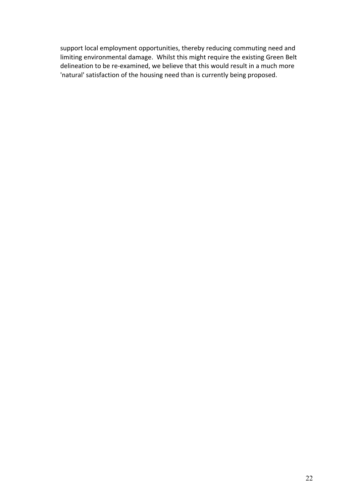support local employment opportunities, thereby reducing commuting need and limiting environmental damage. Whilst this might require the existing Green Belt delineation to be re-examined, we believe that this would result in a much more 'natural' satisfaction of the housing need than is currently being proposed.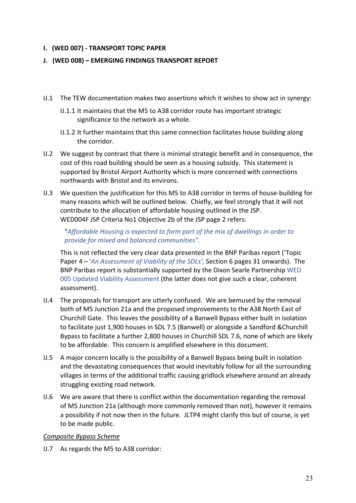### **I. (WED 007) - TRANSPORT TOPIC PAPER**

### **J.** (WED 008) – EMERGING FINDINGS TRANSPORT REPORT

- IJ.1 The TEW documentation makes two assertions which it wishes to show act in synergy:
	- IJ.1.1 It maintains that the M5 to A38 corridor route has important strategic significance to the network as a whole.
	- IJ.1.2 It further maintains that this same connection facilitates house building along the corridor.
- IJ.2 We suggest by contrast that there is minimal strategic benefit and in consequence, the cost of this road building should be seen as a housing subsidy. This statement is supported by Bristol Airport Authority which is more concerned with connections northwards with Bristol and its environs.
- IJ.3 We question the iustification for this M5 to A38 corridor in terms of house-building for many reasons which will be outlined below. Chiefly, we feel strongly that it will not contribute to the allocation of affordable housing outlined in the JSP. WED004F JSP Criteria No1 Objective 2b of the JSP page 2 refers:

"Affordable Housing is expected to form part of the mix of dwellings in order to provide for mixed and balanced communities".

This is not reflected the very clear data presented in the BNP Paribas report ('Topic Paper 4 – '*An Assessment of Viability of the SDLs'*, Section 6 pages 31 onwards). The BNP Paribas report is substantially supported by the Dixon Searle Partnership WED 005 Updated Viability Assessment (the latter does not give such a clear, coherent assessment). 

- IJ.4 The proposals for transport are utterly confused. We are bemused by the removal both of M5 Junction 21a and the proposed improvements to the A38 North East of Churchill Gate. This leaves the possibility of a Banwell Bypass either built in isolation to facilitate just 1,900 houses in SDL 7.5 (Banwell) or alongside a Sandford &Churchill Bypass to facilitate a further 2,800 houses in Churchill SDL 7.6, none of which are likely to be affordable. This concern is amplified elsewhere in this document.
- IJ.5 A major concern locally is the possibility of a Banwell Bypass being built in isolation and the devastating consequences that would inevitably follow for all the surrounding villages in terms of the additional traffic causing gridlock elsewhere around an already struggling existing road network.
- IJ.6 We are aware that there is conflict within the documentation regarding the removal of M5 Junction 21a (although more commonly removed than not), however it remains a possibility if not now then in the future. JLTP4 might clarify this but of course, is yet to be made public.

#### *Composite Bypass Scheme*

IJ.7 As regards the M5 to A38 corridor: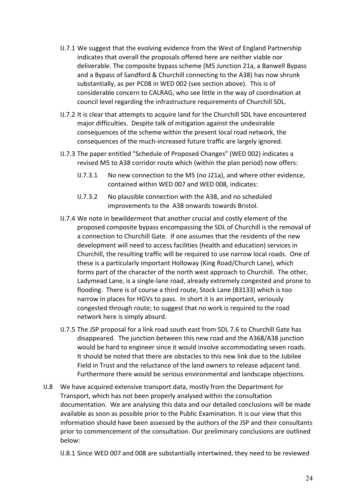- IJ.7.1 We suggest that the evolving evidence from the West of England Partnership indicates that overall the proposals offered here are neither viable nor deliverable. The composite bypass scheme (M5 Junction 21a, a Banwell Bypass and a Bypass of Sandford & Churchill connecting to the A38) has now shrunk substantially, as per PC08 in WED 002 (see section above). This is of considerable concern to CALRAG, who see little in the way of coordination at council level regarding the infrastructure requirements of Churchill SDL.
- IJ.7.2 It is clear that attempts to acquire land for the Churchill SDL have encountered major difficulties. Despite talk of mitigation against the undesirable consequences of the scheme within the present local road network, the consequences of the much-increased future traffic are largely ignored.
- IJ.7.3 The paper entitled "Schedule of Proposed Changes" (WED 002) indicates a revised M5 to A38 corridor route which (within the plan period) now offers:
	- IJ.7.3.1 No new connection to the M5 (no J21a), and where other evidence, contained within WED 007 and WED 008, indicates:
	- IJ.7.3.2 No plausible connection with the A38, and no scheduled improvements to the A38 onwards towards Bristol.
- IJ.7.4 We note in bewilderment that another crucial and costly element of the proposed composite bypass encompassing the SDL of Churchill is the removal of a connection to Churchill Gate. If one assumes that the residents of the new development will need to access facilities (health and education) services in Churchill, the resulting traffic will be required to use narrow local roads. One of these is a particularly important Holloway (King Road/Church Lane), which forms part of the character of the north west approach to Churchill. The other, Ladymead Lane, is a single-lane road, already extremely congested and prone to flooding. There is of course a third route, Stock Lane (B3133) which is too narrow in places for HGVs to pass. In short it is an important, seriously congested through route; to suggest that no work is required to the road network here is simply absurd.
- IJ.7.5 The JSP proposal for a link road south east from SDL 7.6 to Churchill Gate has disappeared. The junction between this new road and the A368/A38 junction would be hard to engineer since it would involve accommodating seven roads. It should be noted that there are obstacles to this new link due to the Jubilee Field in Trust and the reluctance of the land owners to release adjacent land. Furthermore there would be serious environmental and landscape objections.
- IJ.8 We have acquired extensive transport data, mostly from the Department for Transport, which has not been properly analysed within the consultation documentation. We are analysing this data and our detailed conclusions will be made available as soon as possible prior to the Public Examination. It is our view that this information should have been assessed by the authors of the JSP and their consultants prior to commencement of the consultation. Our preliminary conclusions are outlined below:

IJ.8.1 Since WED 007 and 008 are substantially intertwined, they need to be reviewed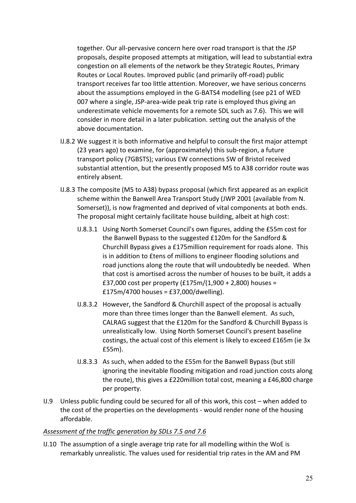together. Our all-pervasive concern here over road transport is that the JSP proposals, despite proposed attempts at mitigation, will lead to substantial extra congestion on all elements of the network be they Strategic Routes, Primary Routes or Local Routes. Improved public (and primarily off-road) public transport receives far too little attention. Moreover, we have serious concerns about the assumptions employed in the G-BATS4 modelling (see p21 of WED 007 where a single, JSP-area-wide peak trip rate is employed thus giving an underestimate vehicle movements for a remote SDL such as 7.6). This we will consider in more detail in a later publication. setting out the analysis of the above documentation.

- IJ.8.2 We suggest it is both informative and helpful to consult the first major attempt (23 years ago) to examine, for (approximately) this sub-region, a future transport policy (7GBSTS); various EW connections SW of Bristol received substantial attention, but the presently proposed M5 to A38 corridor route was entirely absent.
- IJ.8.3 The composite (M5 to A38) bypass proposal (which first appeared as an explicit scheme within the Banwell Area Transport Study (JWP 2001 (available from N. Somerset)), is now fragmented and deprived of vital components at both ends. The proposal might certainly facilitate house building, albeit at high cost:
	- IJ.8.3.1 Using North Somerset Council's own figures, adding the £55m cost for the Banwell Bypass to the suggested £120m for the Sandford & Churchill Bypass gives a £175million requirement for roads alone. This is in addition to £tens of millions to engineer flooding solutions and road junctions along the route that will undoubtedly be needed. When that cost is amortised across the number of houses to be built, it adds a £37,000 cost per property  $(E175m/(1,900 + 2,800)$  houses =  $£175m/4700$  houses = £37,000/dwelling).
	- IJ.8.3.2 However, the Sandford & Churchill aspect of the proposal is actually more than three times longer than the Banwell element. As such, CALRAG suggest that the £120m for the Sandford & Churchill Bypass is unrealistically low. Using North Somerset Council's present baseline costings, the actual cost of this element is likely to exceed £165m (ie 3x £55m).
	- IJ.8.3.3 As such, when added to the £55m for the Banwell Bypass (but still ignoring the inevitable flooding mitigation and road junction costs along the route), this gives a £220million total cost, meaning a £46,800 charge per property.
- IJ.9 Unless public funding could be secured for all of this work, this cost  $-$  when added to the cost of the properties on the developments - would render none of the housing affordable.

## Assessment of the traffic generation by SDLs 7.5 and 7.6

IJ.10 The assumption of a single average trip rate for all modelling within the WoE is remarkably unrealistic. The values used for residential trip rates in the AM and PM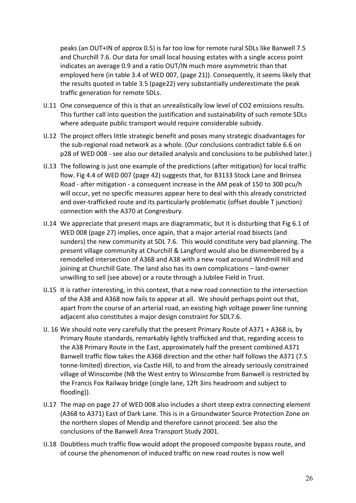peaks (an OUT+IN of approx 0.5) is far too low for remote rural SDLs like Banwell 7.5 and Churchill 7.6. Our data for small local housing estates with a single access point indicates an average 0.9 and a ratio OUT/IN much more asymmetric than that employed here (in table 3.4 of WED 007, (page 21)). Consequently, it seems likely that the results quoted in table 3.5 (page22) very substantially underestimate the peak traffic generation for remote SDLs.

- IJ.11 One consequence of this is that an unrealistically low level of CO2 emissions results. This further call into question the justification and sustainability of such remote SDLs where adequate public transport would require considerable subsidy.
- IJ.12 The project offers little strategic benefit and poses many strategic disadvantages for the sub-regional road network as a whole. (Our conclusions contradict table 6.6 on p28 of WED 008 - see also our detailed analysis and conclusions to be published later.)
- IJ.13 The following is just one example of the predictions (after mitigation) for local traffic flow. Fig 4.4 of WED 007 (page 42) suggests that, for B3133 Stock Lane and Brinsea Road - after mitigation - a consequent increase in the AM peak of 150 to 300 pcu/h will occur, yet no specific measures appear here to deal with this already constricted and over-trafficked route and its particularly problematic (offset double T junction) connection with the A370 at Congresbury.
- IJ.14 We appreciate that present maps are diagrammatic, but it is disturbing that Fig 6.1 of WED 008 (page 27) implies, once again, that a major arterial road bisects (and sunders) the new community at SDL 7.6. This would constitute very bad planning. The present village community at Churchill & Langford would also be dismembered by a remodelled intersection of A368 and A38 with a new road around Windmill Hill and joining at Churchill Gate. The land also has its own complications – land-owner unwilling to sell (see above) or a route through a Jubilee Field in Trust.
- IJ.15 It is rather interesting, in this context, that a new road connection to the intersection of the A38 and A368 now fails to appear at all. We should perhaps point out that, apart from the course of an arterial road, an existing high voltage power line running adjacent also constitutes a major design constraint for SDL7.6.
- IJ. 16 We should note very carefully that the present Primary Route of A371 + A368 is, by Primary Route standards, remarkably lightly trafficked and that, regarding access to the A38 Primary Route in the East, approximately half the present combined A371 Banwell traffic flow takes the A368 direction and the other half follows the A371 (7.5 tonne-limited) direction, via Castle Hill, to and from the already seriously constrained village of Winscombe (NB the West entry to Winscombe from Banwell is restricted by the Francis Fox Railway bridge (single lane, 12ft 3ins headroom and subject to flooding)).
- IJ.17 The map on page 27 of WED 008 also includes a short steep extra connecting element (A368 to A371) East of Dark Lane. This is in a Groundwater Source Protection Zone on the northern slopes of Mendip and therefore cannot proceed. See also the conclusions of the Banwell Area Transport Study 2001.
- IJ.18 Doubtless much traffic flow would adopt the proposed composite bypass route, and of course the phenomenon of induced traffic on new road routes is now well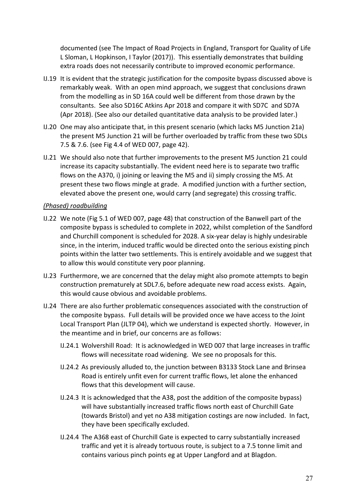documented (see The Impact of Road Projects in England, Transport for Quality of Life L Sloman, L Hopkinson, I Taylor (2017)). This essentially demonstrates that building extra roads does not necessarily contribute to improved economic performance.

- IJ.19 It is evident that the strategic justification for the composite bypass discussed above is remarkably weak. With an open mind approach, we suggest that conclusions drawn from the modelling as in SD 16A could well be different from those drawn by the consultants. See also SD16C Atkins Apr 2018 and compare it with SD7C and SD7A (Apr 2018). (See also our detailed quantitative data analysis to be provided later.)
- IJ.20 One may also anticipate that, in this present scenario (which lacks M5 Junction 21a) the present M5 Junction 21 will be further overloaded by traffic from these two SDLs 7.5 & 7.6. (see Fig 4.4 of WED 007, page 42).
- IJ.21 We should also note that further improvements to the present M5 Junction 21 could increase its capacity substantially. The evident need here is to separate two traffic flows on the A370, i) joining or leaving the M5 and ii) simply crossing the M5. At present these two flows mingle at grade. A modified junction with a further section, elevated above the present one, would carry (and segregate) this crossing traffic.

### *(Phased) roadbuilding*

- IJ.22 We note (Fig 5.1 of WED 007, page 48) that construction of the Banwell part of the composite bypass is scheduled to complete in 2022, whilst completion of the Sandford and Churchill component is scheduled for 2028. A six-year delay is highly undesirable since, in the interim, induced traffic would be directed onto the serious existing pinch points within the latter two settlements. This is entirely avoidable and we suggest that to allow this would constitute very poor planning.
- IJ.23 Furthermore, we are concerned that the delay might also promote attempts to begin construction prematurely at SDL7.6, before adequate new road access exists. Again, this would cause obvious and avoidable problems.
- IJ.24 There are also further problematic consequences associated with the construction of the composite bypass. Full details will be provided once we have access to the Joint Local Transport Plan (JLTP 04), which we understand is expected shortly. However, in the meantime and in brief, our concerns are as follows:
	- IJ.24.1 Wolvershill Road: It is acknowledged in WED 007 that large increases in traffic flows will necessitate road widening. We see no proposals for this.
	- IJ.24.2 As previously alluded to, the junction between B3133 Stock Lane and Brinsea Road is entirely unfit even for current traffic flows, let alone the enhanced flows that this development will cause.
	- IJ.24.3 It is acknowledged that the A38, post the addition of the composite bypass) will have substantially increased traffic flows north east of Churchill Gate (towards Bristol) and yet no A38 mitigation costings are now included. In fact, they have been specifically excluded.
	- IJ.24.4 The A368 east of Churchill Gate is expected to carry substantially increased traffic and yet it is already tortuous route, is subject to a 7.5 tonne limit and contains various pinch points eg at Upper Langford and at Blagdon.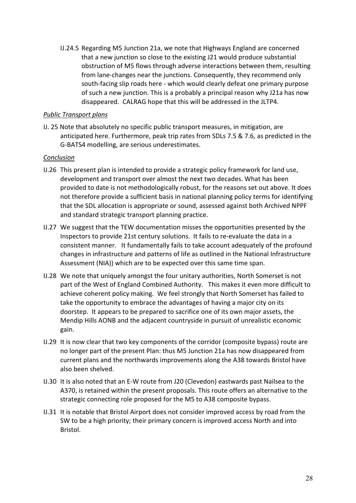IJ.24.5 Regarding M5 Junction 21a, we note that Highways England are concerned that a new junction so close to the existing J21 would produce substantial obstruction of M5 flows through adverse interactions between them, resulting from lane-changes near the junctions. Consequently, they recommend only south-facing slip roads here - which would clearly defeat one primary purpose of such a new junction. This is a probably a principal reason why J21a has now disappeared. CALRAG hope that this will be addressed in the JLTP4.

### *Public Transport plans*

IJ. 25 Note that absolutely no specific public transport measures, in mitigation, are anticipated here. Furthermore, peak trip rates from SDLs 7.5 & 7.6, as predicted in the G-BATS4 modelling, are serious underestimates.

#### *Conclusion*

- IJ.26 This present plan is intended to provide a strategic policy framework for land use, development and transport over almost the next two decades. What has been provided to date is not methodologically robust, for the reasons set out above. It does not therefore provide a sufficient basis in national planning policy terms for identifying that the SDL allocation is appropriate or sound, assessed against both Archived NPPF and standard strategic transport planning practice.
- IJ.27 We suggest that the TEW documentation misses the opportunities presented by the Inspectors to provide 21st century solutions. It fails to re-evaluate the data in a consistent manner. It fundamentally fails to take account adequately of the profound changes in infrastructure and patterns of life as outlined in the National Infrastructure Assessment (NIA)) which are to be expected over this same time span.
- IJ.28 We note that uniquely amongst the four unitary authorities, North Somerset is not part of the West of England Combined Authority. This makes it even more difficult to achieve coherent policy making. We feel strongly that North Somerset has failed to take the opportunity to embrace the advantages of having a major city on its doorstep. It appears to be prepared to sacrifice one of its own major assets, the Mendip Hills AONB and the adjacent countryside in pursuit of unrealistic economic gain.
- IJ.29 It is now clear that two key components of the corridor (composite bypass) route are no longer part of the present Plan: thus M5 Junction 21a has now disappeared from current plans and the northwards improvements along the A38 towards Bristol have also been shelved.
- IJ.30 It is also noted that an E-W route from J20 (Clevedon) eastwards past Nailsea to the A370, is retained within the present proposals. This route offers an alternative to the strategic connecting role proposed for the M5 to A38 composite bypass.
- IJ.31 It is notable that Bristol Airport does not consider improved access by road from the SW to be a high priority; their primary concern is improved access North and into Bristol.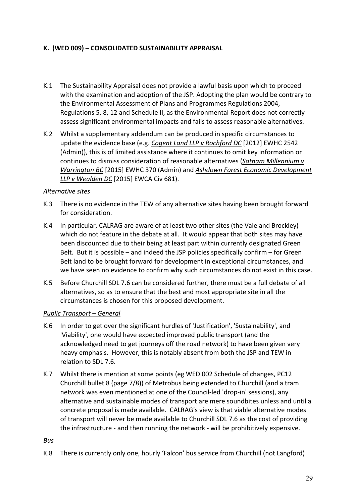# K. (WED 009) - CONSOLIDATED SUSTAINABILITY APPRAISAL

- K.1 The Sustainability Appraisal does not provide a lawful basis upon which to proceed with the examination and adoption of the JSP. Adopting the plan would be contrary to the Environmental Assessment of Plans and Programmes Regulations 2004, Regulations 5, 8, 12 and Schedule II, as the Environmental Report does not correctly assess significant environmental impacts and fails to assess reasonable alternatives.
- K.2 Whilst a supplementary addendum can be produced in specific circumstances to update the evidence base (e.g. *Cogent Land LLP v Rochford DC* [2012] EWHC 2542 (Admin)), this is of limited assistance where it continues to omit key information or continues to dismiss consideration of reasonable alternatives (Satnam Millennium v *Warrington BC* [2015] EWHC 370 (Admin) and Ashdown Forest Economic Development *LLP* v Wealden DC [2015] EWCA Civ 681).

### *Alternative sites*

- K.3 There is no evidence in the TEW of any alternative sites having been brought forward for consideration.
- K.4 In particular, CALRAG are aware of at least two other sites (the Vale and Brockley) which do not feature in the debate at all. It would appear that both sites may have been discounted due to their being at least part within currently designated Green Belt. But it is possible  $-$  and indeed the JSP policies specifically confirm  $-$  for Green Belt land to be brought forward for development in exceptional circumstances, and we have seen no evidence to confirm why such circumstances do not exist in this case.
- K.5 Before Churchill SDL 7.6 can be considered further, there must be a full debate of all alternatives, so as to ensure that the best and most appropriate site in all the circumstances is chosen for this proposed development.

## *Public Transport – General*

- K.6 In order to get over the significant hurdles of 'Justification', 'Sustainability', and 'Viability', one would have expected improved public transport (and the acknowledged need to get journeys off the road network) to have been given very heavy emphasis. However, this is notably absent from both the JSP and TEW in relation to SDL 7.6.
- K.7 Whilst there is mention at some points (eg WED 002 Schedule of changes, PC12 Churchill bullet 8 (page 7/8)) of Metrobus being extended to Churchill (and a tram network was even mentioned at one of the Council-led 'drop-in' sessions), any alternative and sustainable modes of transport are mere soundbites unless and until a concrete proposal is made available. CALRAG's view is that viable alternative modes of transport will never be made available to Churchill SDL 7.6 as the cost of providing the infrastructure - and then running the network - will be prohibitively expensive.

#### *Bus*

K.8 There is currently only one, hourly 'Falcon' bus service from Churchill (not Langford)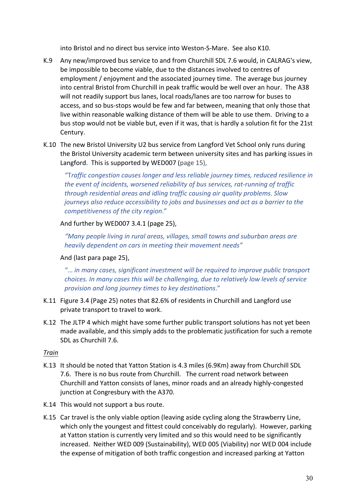into Bristol and no direct bus service into Weston-S-Mare. See also K10.

- K.9 Any new/improved bus service to and from Churchill SDL 7.6 would, in CALRAG's view, be impossible to become viable, due to the distances involved to centres of employment / enjoyment and the associated journey time. The average bus journey into central Bristol from Churchill in peak traffic would be well over an hour. The A38 will not readily support bus lanes, local roads/lanes are too narrow for buses to access, and so bus-stops would be few and far between, meaning that only those that live within reasonable walking distance of them will be able to use them. Driving to a bus stop would not be viable but, even if it was, that is hardly a solution fit for the 21st Century.
- K.10 The new Bristol University U2 bus service from Langford Vet School only runs during the Bristol University academic term between university sites and has parking issues in Langford. This is supported by WED007 (page 15),

"Traffic congestion causes longer and less reliable journey times, reduced resilience in *the event of incidents, worsened reliability of bus services, rat-running of traffic through residential areas and idling traffic causing air quality problems. Slow journeys also reduce accessibility to jobs and businesses and act as a barrier to the competitiveness of the city region*."

# And further by WED007 3.4.1 (page 25),

*"Many people living in rural areas, villages, small towns and suburban areas are heavily dependent on cars in meeting their movement needs"* 

# And (last para page 25),

"... in many cases, significant investment will be required to improve public transport *choices.* In many cases this will be challenging, due to relatively low levels of service *provision and long journey times to key destinations*." 

- K.11 Figure 3.4 (Page 25) notes that 82.6% of residents in Churchill and Langford use private transport to travel to work.
- K.12 The JLTP 4 which might have some further public transport solutions has not yet been made available, and this simply adds to the problematic justification for such a remote SDL as Churchill 7.6.

## *Train*

- K.13 It should be noted that Yatton Station is 4.3 miles (6.9Km) away from Churchill SDL 7.6. There is no bus route from Churchill. The current road network between Churchill and Yatton consists of lanes, minor roads and an already highly-congested junction at Congresbury with the A370.
- K.14 This would not support a bus route.
- K.15 Car travel is the only viable option (leaving aside cycling along the Strawberry Line, which only the youngest and fittest could conceivably do regularly). However, parking at Yatton station is currently very limited and so this would need to be significantly increased. Neither WED 009 (Sustainability), WED 005 (Viability) nor WED 004 include the expense of mitigation of both traffic congestion and increased parking at Yatton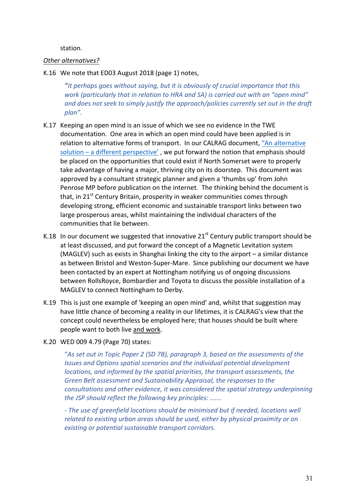station.

#### **Other** alternatives?

#### K.16 We note that ED03 August 2018 (page 1) notes,

"It perhaps goes without saying, but it is obviously of crucial importance that this *work* (particularly that in relation to HRA and SA) is carried out with an "open mind" and does not seek to simply justify the approach/policies currently set out in the draft plan".

- K.17 Keeping an open mind is an issue of which we see no evidence in the TWE documentation. One area in which an open mind could have been applied is in relation to alternative forms of transport. In our CALRAG document, "An alternative solution  $-$  a different perspective', we put forward the notion that emphasis should be placed on the opportunities that could exist if North Somerset were to properly take advantage of having a major, thriving city on its doorstep. This document was approved by a consultant strategic planner and given a 'thumbs up' from John Penrose MP before publication on the internet. The thinking behind the document is that, in  $21^{st}$  Century Britain, prosperity in weaker communities comes through developing strong, efficient economic and sustainable transport links between two large prosperous areas, whilst maintaining the individual characters of the communities that lie between.
- K.18 In our document we suggested that innovative  $21^{st}$  Century public transport should be at least discussed, and put forward the concept of a Magnetic Levitation system (MAGLEV) such as exists in Shanghai linking the city to the airport  $-$  a similar distance as between Bristol and Weston-Super-Mare. Since publishing our document we have been contacted by an expert at Nottingham notifying us of ongoing discussions between RollsRoyce, Bombardier and Toyota to discuss the possible installation of a MAGLEV to connect Nottingham to Derby.
- K.19 This is just one example of 'keeping an open mind' and, whilst that suggestion may have little chance of becoming a reality in our lifetimes, it is CALRAG's view that the concept could nevertheless be employed here; that houses should be built where people want to both live and work.
- K.20 WED 009 4.79 (Page 70) states:

"As set out in Topic Paper 2 (SD 7B), paragraph 3, based on the assessments of the *Issues and Options spatial scenarios and the individual potential development locations, and informed by the spatial priorities, the transport assessments, the* Green Belt assessment and Sustainability Appraisal, the responses to the *consultations and other evidence, it was considered the spatial strategy underpinning the JSP should reflect the following key principles: .......* 

- The use of greenfield locations should be minimised but if needed, locations well related to existing urban areas should be used, either by physical proximity or on *existing or potential sustainable transport corridors.*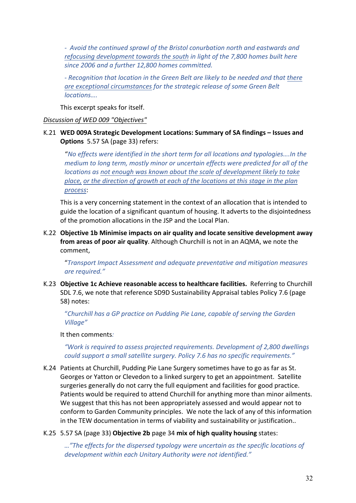- Avoid the continued sprawl of the Bristol conurbation north and eastwards and *refocusing development towards the south in light of the 7,800 homes built here* since 2006 and a further 12,800 homes committed.

*-* Recognition that location in the Green Belt are likely to be needed and that there *are exceptional circumstances for the strategic release of some Green Belt locations….*

This excerpt speaks for itself.

#### *Discussion of WED 009 "Objectives"*

### K.21 WED 009A Strategic Development Locations: Summary of SA findings – Issues and **Options** 5.57 SA (page 33) refers:

"No effects were identified in the short term for all locations and typologies....In the *medium to long term, mostly minor or uncertain effects were predicted for all of the locations as not enough was known about the scale of development likely to take* place, or the direction of growth at each of the locations at this stage in the plan *process*:

This is a very concerning statement in the context of an allocation that is intended to guide the location of a significant quantum of housing. It adverts to the disjointedness of the promotion allocations in the JSP and the Local Plan.

K.22 Objective 1b Minimise impacts on air quality and locate sensitive development away **from areas of poor air quality**. Although Churchill is not in an AQMA, we note the comment, 

"*Transport Impact Assessment and adequate preventative and mitigation measures are required."* 

K.23 Objective 1c Achieve reasonable access to healthcare facilities. Referring to Churchill SDL 7.6, we note that reference SD9D Sustainability Appraisal tables Policy 7.6 (page 58) notes:

"Churchill has a GP practice on Pudding Pie Lane, capable of serving the Garden *Village"* 

It then comments:

*"Work is required to assess projected requirements. Development of 2,800 dwellings could support a small satellite surgery. Policy 7.6 has no specific requirements."* 

- K.24 Patients at Churchill, Pudding Pie Lane Surgery sometimes have to go as far as St. Georges or Yatton or Clevedon to a linked surgery to get an appointment. Satellite surgeries generally do not carry the full equipment and facilities for good practice. Patients would be required to attend Churchill for anything more than minor ailments. We suggest that this has not been appropriately assessed and would appear not to conform to Garden Community principles. We note the lack of any of this information in the TEW documentation in terms of viability and sustainability or justification..
- K.25 5.57 SA (page 33) **Objective 2b** page 34 mix of high quality housing states:

…"The effects for the dispersed typology were uncertain as the specific locations of *development within each Unitary Authority were not identified."*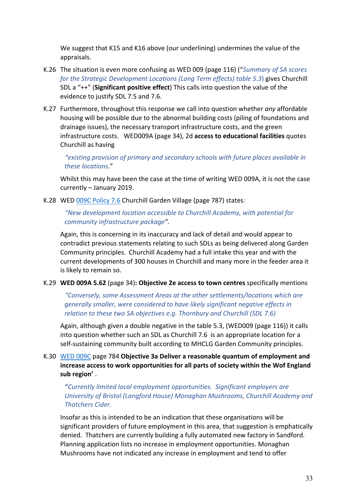We suggest that K15 and K16 above (our underlining) undermines the value of the appraisals. 

- K.26 The situation is even more confusing as WED 009 (page 116) ("Summary of SA scores *for the Strategic Development Locations (Long Term effects) table 5.3)* gives Churchill SDL a "++" (Significant positive effect) This calls into question the value of the evidence to justify SDL 7.5 and 7.6.
- K.27 Furthermore, throughout this response we call into question whether *any* affordable housing will be possible due to the abnormal building costs (piling of foundations and drainage issues), the necessary transport infrastructure costs, and the green infrastructure costs. WED009A (page 34), 2d access to educational facilities quotes Churchill as having

*"existing* provision of primary and secondary schools with future places available in *these locations*." 

Whilst this may have been the case at the time of writing WED 009A, it is not the case  $currently - January 2019.$ 

K.28 WED 009C Policy 7.6 Churchill Garden Village (page 787) states:

### *"New development location accessible to Churchill Academy, with potential for community infrastructure package".*

Again, this is concerning in its inaccuracy and lack of detail and would appear to contradict previous statements relating to such SDLs as being delivered along Garden Community principles. Churchill Academy had a full intake this year and with the current developments of 300 houses in Churchill and many more in the feeder area it is likely to remain so.

#### K.29 **WED 009A 5.62** (page 34): Objective 2e access to town centres specifically mentions

*"Conversely, some Assessment Areas at the other settlements/locations which are generally smaller, were considered to have likely significant negative effects in relation to these two SA objectives e.g. Thornbury and Churchill (SDL 7.6)* 

Again, although given a double negative in the table 5.3, (WED009 (page 116)) it calls into question whether such an SDL as Churchill 7.6 is an appropriate location for a self-sustaining community built according to MHCLG Garden Community principles.

K.30 WED 009C page 784 Objective 3a Deliver a reasonable quantum of employment and **increase access to work opportunities for all parts of society within the Wof England** sub region'.

**"***Currently limited local employment opportunities. Significant employers are University of Bristol (Langford House)* Monaghan Mushrooms, Churchill Academy and *Thatchers Cider.* 

Insofar as this is intended to be an indication that these organisations will be significant providers of future employment in this area, that suggestion is emphatically denied. Thatchers are currently building a fully automated new factory in Sandford. Planning application lists no increase in employment opportunities. Monaghan Mushrooms have not indicated any increase in employment and tend to offer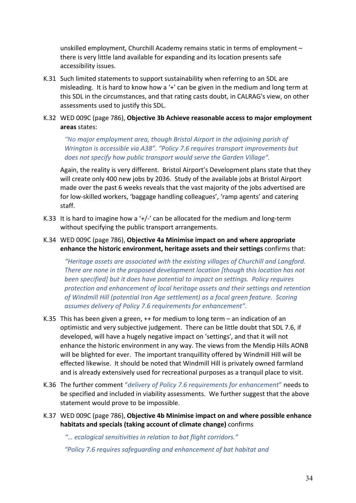unskilled employment, Churchill Academy remains static in terms of employment  $$ there is very little land available for expanding and its location presents safe accessibility issues.

K.31 Such limited statements to support sustainability when referring to an SDL are misleading. It is hard to know how a '+' can be given in the medium and long term at this SDL in the circumstances, and that rating casts doubt, in CALRAG's view, on other assessments used to justify this SDL.

### K.32 WED 009C (page 786), Objective 3b Achieve reasonable access to major employment **areas** states:

"No major employment area, though Bristol Airport in the adjoining parish of *Wrington is accessible via A38". "Policy 7.6 requires transport improvements but does not specify how public transport would serve the Garden Village".* 

Again, the reality is very different. Bristol Airport's Development plans state that they will create only 400 new jobs by 2036. Study of the available jobs at Bristol Airport made over the past 6 weeks reveals that the vast majority of the jobs advertised are for low-skilled workers, 'baggage handling colleagues', 'ramp agents' and catering staff. 

K.33 It is hard to imagine how a '+/-' can be allocated for the medium and long-term without specifying the public transport arrangements.

## K.34 WED 009C (page 786), Objective 4a Minimise impact on and where appropriate **enhance the historic environment, heritage assets and their settings confirms that:**

*"Heritage assets are associated with the existing villages of Churchill and Langford. There are none in the proposed development location [though this location has not been specified]* but it does have potential to impact on settings. Policy requires *protection and enhancement of local heritage assets and their settings and retention of Windmill Hill (potential Iron Age settlement) as a focal green feature. Scoring assumes delivery of Policy 7.6 requirements for enhancement".* 

- K.35 This has been given a green,  $++$  for medium to long term an indication of an optimistic and very subjective judgement. There can be little doubt that SDL 7.6, if developed, will have a hugely negative impact on 'settings', and that it will not enhance the historic environment in any way. The views from the Mendip Hills AONB will be blighted for ever. The important tranquillity offered by Windmill Hill will be effected likewise. It should be noted that Windmill Hill is privately owned farmland and is already extensively used for recreational purposes as a tranquil place to visit.
- K.36 The further comment "*delivery of Policy 7.6 requirements for enhancement*" needs to be specified and included in viability assessments. We further suggest that the above statement would prove to be impossible.
- K.37 WED 009C (page 786), Objective 4b Minimise impact on and where possible enhance habitats and specials (taking account of climate change) confirms

*"… ecological sensitivities in relation to bat flight corridors."* 

*"Policy 7.6 requires safeguarding and enhancement of bat habitat and*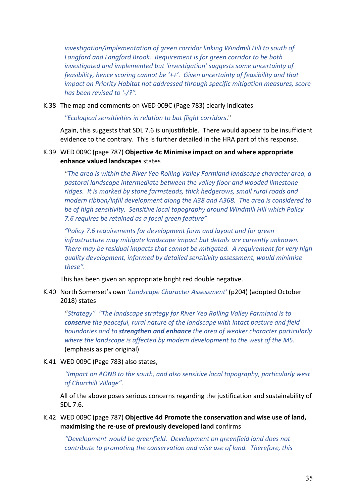*investigation/implementation of green corridor linking Windmill Hill to south of* Langford and Langford Brook. Requirement is for green corridor to be both *investigated and implemented but 'investigation' suggests some uncertainty of feasibility, hence scoring cannot be '++'. Given uncertainty of feasibility and that impact on Priority Habitat not addressed through specific mitigation measures, score has been revised to '-/?".*

K.38 The map and comments on WED 009C (Page 783) clearly indicates

*"Ecological sensitivities in relation to bat flight corridors*." 

Again, this suggests that SDL 7.6 is uniustifiable. There would appear to be insufficient evidence to the contrary. This is further detailed in the HRA part of this response.

# K.39 WED 009C (page 787) Objective 4c Minimise impact on and where appropriate **enhance valued landscapes** states

"*The area is within the River Yeo Rolling Valley Farmland landscape character area, a*  pastoral landscape intermediate between the valley floor and wooded limestone ridges. It is marked by stone farmsteads, thick hedgerows, small rural roads and *modern ribbon/infill development along the A38 and A368. The area is considered to* be of high sensitivity. Sensitive local topography around Windmill Hill which Policy *7.6 requires be retained as a focal green feature"* 

*"Policy 7.6 requirements for development form and layout and for green infrastructure* may mitigate landscape impact but details are currently unknown. *There* may be residual impacts that cannot be mitigated. A requirement for very high *quality development, informed by detailed sensitivity assessment, would minimise*  these".

This has been given an appropriate bright red double negative.

K.40 North Somerset's own 'Landscape Character Assessment' (p204) (adopted October 2018) states

"Strategy" "The landscape strategy for River Yeo Rolling Valley Farmland is to **conserve** the peaceful, rural nature of the landscape with intact pasture and field **boundaries and to strengthen and enhance** the area of weaker character particularly where the landscape is affected by modern development to the west of the M5. (emphasis as per original)

K.41 WED 009C (Page 783) also states,

*"Impact* on AONB to the south, and also sensitive local topography, particularly west of Churchill Village".

All of the above poses serious concerns regarding the justification and sustainability of SDL 7.6.

K.42 WED 009C (page 787) Objective 4d Promote the conservation and wise use of land, maximising the re-use of previously developed land confirms

*"Development would be greenfield. Development on greenfield land does not contribute to promoting the conservation and wise use of land. Therefore, this*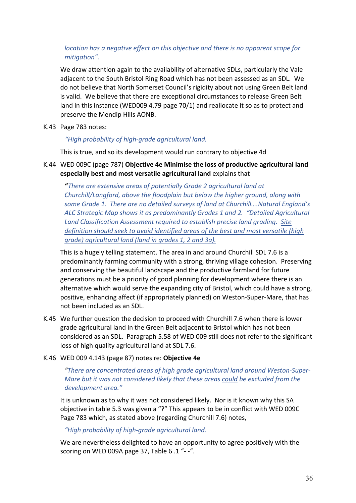# *location has a negative effect on this objective and there is no apparent scope for mitigation".*

We draw attention again to the availability of alternative SDLs, particularly the Vale adjacent to the South Bristol Ring Road which has not been assessed as an SDL. We do not believe that North Somerset Council's rigidity about not using Green Belt land is valid. We believe that there are exceptional circumstances to release Green Belt land in this instance (WED009 4.79 page  $70/1$ ) and reallocate it so as to protect and preserve the Mendip Hills AONB.

K.43 Page 783 notes:

### *"High probability of high-grade agricultural land.*

This is true, and so its development would run contrary to objective 4d

K.44 WED 009C (page 787) Objective 4e Minimise the loss of productive agricultural land especially best and most versatile agricultural land explains that

**"**There are extensive areas of potentially Grade 2 agricultural land at *Churchill/Langford, above the floodplain but below the higher ground, along with* some Grade 1. There are no detailed surveys of land at Churchill....Natural England's ALC Strategic Map shows it as predominantly Grades 1 and 2. "Detailed Agricultural Land Classification Assessment required to establish precise land grading. Site *definition* should seek to avoid identified areas of the best and most versatile (high grade) agricultural land (land in grades 1, 2 and 3a).

This is a hugely telling statement. The area in and around Churchill SDL 7.6 is a predominantly farming community with a strong, thriving village cohesion. Preserving and conserving the beautiful landscape and the productive farmland for future generations must be a priority of good planning for development where there is an alternative which would serve the expanding city of Bristol, which could have a strong, positive, enhancing affect (if appropriately planned) on Weston-Super-Mare, that has not been included as an SDL.

K.45 We further question the decision to proceed with Churchill 7.6 when there is lower grade agricultural land in the Green Belt adjacent to Bristol which has not been considered as an SDL. Paragraph 5.58 of WED 009 still does not refer to the significant loss of high quality agricultural land at SDL 7.6.

#### K.46 WED 009 4.143 (page 87) notes re: **Objective 4e**

"There are concentrated areas of high arade agricultural land around Weston-Super-*Mare but it was not considered likely that these areas could be excluded from the development area."* 

It is unknown as to why it was not considered likely. Nor is it known why this SA objective in table 5.3 was given a "?" This appears to be in conflict with WED 009C Page 783 which, as stated above (regarding Churchill 7.6) notes,

## *"High probability of high-grade agricultural land.*

We are nevertheless delighted to have an opportunity to agree positively with the scoring on WED 009A page 37, Table  $6.1$  "- $-$ ".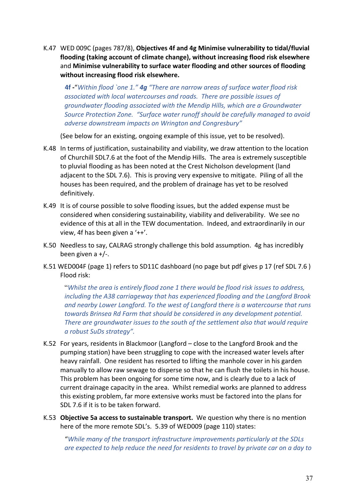K.47 WED 009C (pages 787/8), Objectives 4f and 4g Minimise vulnerability to tidal/fluvial flooding (taking account of climate change), without increasing flood risk elsewhere and Minimise vulnerability to surface water flooding and other sources of flooding without increasing flood risk elsewhere.

**4f -**"Within flood `one 1." **4g** "There are narrow areas of surface water flood risk associated with local watercourses and roads. There are possible issues of *groundwater flooding associated with the Mendip Hills, which are a Groundwater* Source Protection Zone. "Surface water runoff should be carefully managed to avoid *adverse downstream impacts on Wrington and Congresbury"* 

(See below for an existing, ongoing example of this issue, yet to be resolved).

- K.48 In terms of justification, sustainability and viability, we draw attention to the location of Churchill SDL7.6 at the foot of the Mendip Hills. The area is extremely susceptible to pluvial flooding as has been noted at the Crest Nicholson development (land adjacent to the SDL 7.6). This is proving very expensive to mitigate. Piling of all the houses has been required, and the problem of drainage has yet to be resolved definitively.
- K.49 It is of course possible to solve flooding issues, but the added expense must be considered when considering sustainability, viability and deliverability. We see no evidence of this at all in the TEW documentation. Indeed, and extraordinarily in our view, 4f has been given a  $'+'$ .
- K.50 Needless to say, CALRAG strongly challenge this bold assumption. 4g has incredibly been given a  $+/-$ .
- K.51 WED004F (page 1) refers to SD11C dashboard (no page but pdf gives p 17 (ref SDL 7.6) Flood risk:

"Whilst the area is entirely flood zone 1 there would be flood risk issues to address, *including* the A38 carriageway that has experienced flooding and the Langford Brook and nearby Lower Langford. To the west of Langford there is a watercourse that runs towards Brinsea Rd Farm that should be considered in any development potential. *There are groundwater issues to the south of the settlement also that would require a robust SuDs strategy".*

- K.52 For years, residents in Blackmoor (Langford close to the Langford Brook and the pumping station) have been struggling to cope with the increased water levels after heavy rainfall. One resident has resorted to lifting the manhole cover in his garden manually to allow raw sewage to disperse so that he can flush the toilets in his house. This problem has been ongoing for some time now, and is clearly due to a lack of current drainage capacity in the area. Whilst remedial works are planned to address this existing problem, far more extensive works must be factored into the plans for SDL 7.6 if it is to be taken forward.
- K.53 Objective 5a access to sustainable transport. We question why there is no mention here of the more remote SDL's. 5.39 of WED009 (page 110) states:

"While many of the transport infrastructure improvements particularly at the SDLs *are expected to help reduce the need for residents to travel by private car on a day to*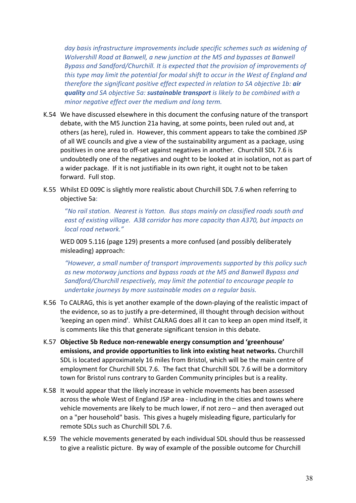day basis infrastructure *improvements include specific schemes such as widening of Wolvershill Road at Banwell, a new junction at the M5 and bypasses at Banwell Bypass and Sandford/Churchill. It is expected that the provision of improvements of this type may limit the potential for modal shift to occur in the West of England and therefore the significant positive effect expected in relation to SA objective 1b: air guality* and SA objective 5a: **sustainable transport** is likely to be combined with a *minor negative effect over the medium and long term.* 

- K.54 We have discussed elsewhere in this document the confusing nature of the transport debate, with the M5 Junction 21a having, at some points, been ruled out and, at others (as here), ruled in. However, this comment appears to take the combined JSP of all WE councils and give a view of the sustainability argument as a package, using positives in one area to off-set against negatives in another. Churchill SDL 7.6 is undoubtedly one of the negatives and ought to be looked at in isolation, not as part of a wider package. If it is not justifiable in its own right, it ought not to be taken forward. Full stop.
- K.55 Whilst ED 009C is slightly more realistic about Churchill SDL 7.6 when referring to objective 5a:

"No rail station. Nearest is Yatton. Bus stops mainly on classified roads south and east of existing village. A38 corridor has more capacity than A370, but impacts on *local road network."*

WED 009 5.116 (page 129) presents a more confused (and possibly deliberately misleading) approach:

"However, a small number of transport improvements supported by this policy such as new motorway junctions and bypass roads at the M5 and Banwell Bypass and *Sandford/Churchill respectively, may limit the potential to encourage people to undertake journeys by more sustainable modes on a regular basis.* 

- K.56 To CALRAG, this is yet another example of the down-playing of the realistic impact of the evidence, so as to justify a pre-determined, ill thought through decision without 'keeping an open mind'. Whilst CALRAG does all it can to keep an open mind itself, it is comments like this that generate significant tension in this debate.
- K.57 Objective 5b Reduce non-renewable energy consumption and 'greenhouse' **emissions, and provide opportunities to link into existing heat networks.** Churchill SDL is located approximately 16 miles from Bristol, which will be the main centre of employment for Churchill SDL 7.6. The fact that Churchill SDL 7.6 will be a dormitory town for Bristol runs contrary to Garden Community principles but is a reality.
- K.58 It would appear that the likely increase in vehicle movements has been assessed across the whole West of England JSP area - including in the cities and towns where vehicle movements are likely to be much lower, if not zero  $-$  and then averaged out on a "per household" basis. This gives a hugely misleading figure, particularly for remote SDLs such as Churchill SDL 7.6.
- K.59 The vehicle movements generated by each individual SDL should thus be reassessed to give a realistic picture. By way of example of the possible outcome for Churchill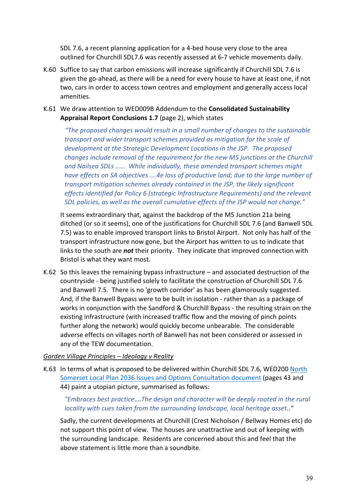SDL 7.6, a recent planning application for a 4-bed house very close to the area outlined for Churchill SDL7.6 was recently assessed at 6-7 vehicle movements daily.

K.60 Suffice to say that carbon emissions will increase significantly if Churchill SDL 7.6 is given the go-ahead, as there will be a need for every house to have at least one, if not two, cars in order to access town centres and employment and generally access local amenities. 

# K.61 We draw attention to WED009B Addendum to the **Consolidated Sustainability Appraisal Report Conclusions 1.7** (page 2), which states

*"The proposed changes would result in a small number of changes to the sustainable transport and wider transport schemes provided as mitigation for the scale of development at the Strategic Development Locations in the JSP. The proposed changes include removal of the requirement for the new M5 junctions at the Churchill* and Nailsea SDLs ...... While individually, these amended transport schemes might *have effects* on SA objectives ....4e loss of productive land; due to the large number of *transport mitigation schemes already contained in the JSP, the likely significant effects identified for Policy 6 (strategic Infrastructure Requirements) and the relevant* SDL policies, as well as the overall cumulative effects of the JSP would not change."

It seems extraordinary that, against the backdrop of the M5 Junction 21a being ditched (or so it seems), one of the justifications for Churchill SDL 7.6 (and Banwell SDL 7.5) was to enable improved transport links to Bristol Airport. Not only has half of the transport infrastructure now gone, but the Airport has written to us to indicate that links to the south are **not** their priority. They indicate that improved connection with Bristol is what they want most.

K.62 So this leaves the remaining bypass infrastructure – and associated destruction of the countryside - being justified solely to facilitate the construction of Churchill SDL 7.6 and Banwell 7.5. There is no 'growth corridor' as has been glamorously suggested. And, if the Banwell Bypass were to be built in isolation - rather than as a package of works in conjunction with the Sandford & Churchill Bypass - the resulting strain on the existing infrastructure (with increased traffic flow and the moving of pinch points further along the network) would quickly become unbearable. The considerable adverse effects on villages north of Banwell has not been considered or assessed in any of the TEW documentation.

## *Garden Village Principles – Ideology v Reality*

K.63 In terms of what is proposed to be delivered within Churchill SDL 7.6, WED200 North Somerset Local Plan 2036 Issues and Options Consultation document (pages 43 and 44) paint a utopian picture, summarised as follows:

## "Embraces best practice....The design and character will be deeply rooted in the rural *locality* with cues taken from the surrounding landscape, local heritage asset.."

Sadly, the current developments at Churchill (Crest Nicholson / Bellway Homes etc) do not support this point of view. The houses are unattractive and out of keeping with the surrounding landscape. Residents are concerned about this and feel that the above statement is little more than a soundbite.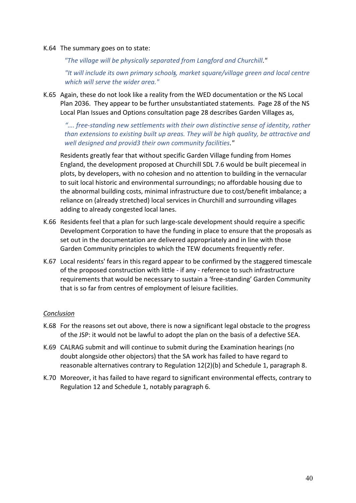#### K.64 The summary goes on to state:

"The village will be physically separated from Langford and Churchill."

"It will include its own primary schools, market square/village green and local centre which will serve the wider area."

K.65 Again, these do not look like a reality from the WED documentation or the NS Local Plan 2036. They appear to be further unsubstantiated statements. Page 28 of the NS Local Plan Issues and Options consultation page 28 describes Garden Villages as,

# ".... free-standing new settlements with their own distinctive sense of identity, rather *than* extensions to existing built up areas. They will be high quality, be attractive and *well designed and provid3 their own community facilities*.*"*

Residents greatly fear that without specific Garden Village funding from Homes England, the development proposed at Churchill SDL 7.6 would be built piecemeal in plots, by developers, with no cohesion and no attention to building in the vernacular to suit local historic and environmental surroundings; no affordable housing due to the abnormal building costs, minimal infrastructure due to cost/benefit imbalance; a reliance on (already stretched) local services in Churchill and surrounding villages adding to already congested local lanes.

- K.66 Residents feel that a plan for such large-scale development should require a specific Development Corporation to have the funding in place to ensure that the proposals as set out in the documentation are delivered appropriately and in line with those Garden Community principles to which the TEW documents frequently refer.
- K.67 Local residents' fears in this regard appear to be confirmed by the staggered timescale of the proposed construction with little - if any - reference to such infrastructure requirements that would be necessary to sustain a 'free-standing' Garden Community that is so far from centres of employment of leisure facilities.

#### *Conclusion*

- K.68 For the reasons set out above, there is now a significant legal obstacle to the progress of the JSP: it would not be lawful to adopt the plan on the basis of a defective SEA.
- K.69 CALRAG submit and will continue to submit during the Examination hearings (no doubt alongside other objectors) that the SA work has failed to have regard to reasonable alternatives contrary to Regulation  $12(2)(b)$  and Schedule 1, paragraph 8.
- K.70 Moreover, it has failed to have regard to significant environmental effects, contrary to Regulation 12 and Schedule 1, notably paragraph 6.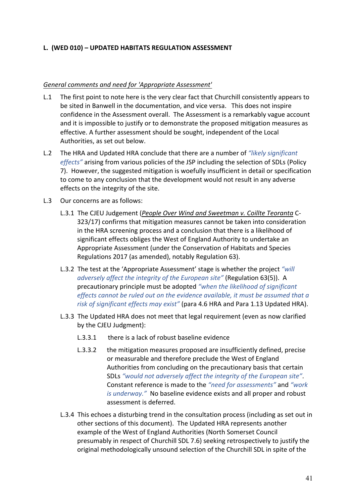# L. (WED 010) - UPDATED HABITATS REGULATION ASSESSMENT

### General comments and need for 'Appropriate Assessment'

- L.1 The first point to note here is the very clear fact that Churchill consistently appears to be sited in Banwell in the documentation, and vice versa. This does not inspire confidence in the Assessment overall. The Assessment is a remarkably vague account and it is impossible to justify or to demonstrate the proposed mitigation measures as effective. A further assessment should be sought, independent of the Local Authorities, as set out below.
- L.2 The HRA and Updated HRA conclude that there are a number of *"likely significant effects"* arising from various policies of the JSP including the selection of SDLs (Policy 7). However, the suggested mitigation is woefully insufficient in detail or specification to come to any conclusion that the development would not result in any adverse effects on the integrity of the site.
- L.3 Our concerns are as follows:
	- L.3.1 The CJEU Judgement (People Over Wind and Sweetman v. Coillte Teoranta C-323/17) confirms that mitigation measures cannot be taken into consideration in the HRA screening process and a conclusion that there is a likelihood of significant effects obliges the West of England Authority to undertake an Appropriate Assessment (under the Conservation of Habitats and Species Regulations 2017 (as amended), notably Regulation 63).
	- L.3.2 The test at the 'Appropriate Assessment' stage is whether the project "will *adversely affect the integrity of the European site"* (Regulation 63(5)). A precautionary principle must be adopted "when the likelihood of significant effects cannot be ruled out on the evidence available, it must be assumed that a risk of significant effects may exist" (para 4.6 HRA and Para 1.13 Updated HRA).
	- L.3.3 The Updated HRA does not meet that legal requirement (even as now clarified by the CJEU Judgment):
		- $L.3.3.1$  there is a lack of robust baseline evidence
		- L.3.3.2 the mitigation measures proposed are insufficiently defined, precise or measurable and therefore preclude the West of England Authorities from concluding on the precautionary basis that certain SDLs "would not adversely affect the integrity of the European site". Constant reference is made to the "need for assessments" and "work *is underway.*" No baseline evidence exists and all proper and robust assessment is deferred.
	- L.3.4 This echoes a disturbing trend in the consultation process (including as set out in other sections of this document). The Updated HRA represents another example of the West of England Authorities (North Somerset Council presumably in respect of Churchill SDL 7.6) seeking retrospectively to justify the original methodologically unsound selection of the Churchill SDL in spite of the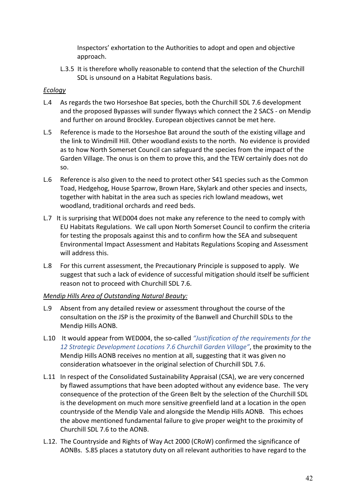Inspectors' exhortation to the Authorities to adopt and open and objective approach.

L.3.5 It is therefore wholly reasonable to contend that the selection of the Churchill SDL is unsound on a Habitat Regulations basis.

# *Ecology*

- L.4 As regards the two Horseshoe Bat species, both the Churchill SDL 7.6 development and the proposed Bypasses will sunder flyways which connect the 2 SACS - on Mendip and further on around Brockley. European objectives cannot be met here.
- L.5 Reference is made to the Horseshoe Bat around the south of the existing village and the link to Windmill Hill. Other woodland exists to the north. No evidence is provided as to how North Somerset Council can safeguard the species from the impact of the Garden Village. The onus is on them to prove this, and the TEW certainly does not do so.
- L.6 Reference is also given to the need to protect other S41 species such as the Common Toad, Hedgehog, House Sparrow, Brown Hare, Skylark and other species and insects, together with habitat in the area such as species rich lowland meadows, wet woodland, traditional orchards and reed beds.
- L.7 It is surprising that WED004 does not make any reference to the need to comply with EU Habitats Regulations. We call upon North Somerset Council to confirm the criteria for testing the proposals against this and to confirm how the SEA and subsequent Environmental Impact Assessment and Habitats Regulations Scoping and Assessment will address this.
- L.8 For this current assessment, the Precautionary Principle is supposed to apply. We suggest that such a lack of evidence of successful mitigation should itself be sufficient reason not to proceed with Churchill SDL 7.6.

## *Mendip Hills Area of Outstanding Natural Beauty:*

- L.9 Absent from any detailed review or assessment throughout the course of the consultation on the JSP is the proximity of the Banwell and Churchill SDLs to the Mendip Hills AONB.
- L.10 It would appear from WED004, the so-called *"Justification of the requirements for the* 12 Strategic Development Locations 7.6 Churchill Garden Village", the proximity to the Mendip Hills AONB receives no mention at all, suggesting that it was given no consideration whatsoever in the original selection of Churchill SDL 7.6.
- L.11 In respect of the Consolidated Sustainability Appraisal (CSA), we are very concerned by flawed assumptions that have been adopted without any evidence base. The very consequence of the protection of the Green Belt by the selection of the Churchill SDL is the development on much more sensitive greenfield land at a location in the open countryside of the Mendip Vale and alongside the Mendip Hills AONB. This echoes the above mentioned fundamental failure to give proper weight to the proximity of Churchill SDL 7.6 to the AONB.
- L.12. The Countryside and Rights of Way Act 2000 (CRoW) confirmed the significance of AONBs. S.85 places a statutory duty on all relevant authorities to have regard to the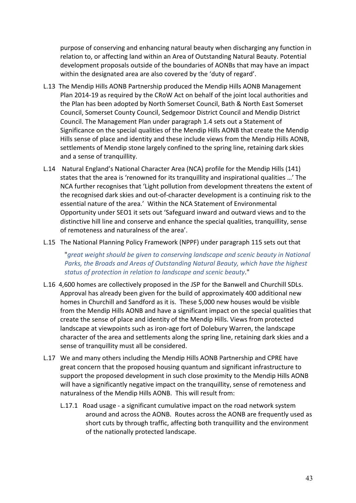purpose of conserving and enhancing natural beauty when discharging any function in relation to, or affecting land within an Area of Outstanding Natural Beauty. Potential development proposals outside of the boundaries of AONBs that may have an impact within the designated area are also covered by the 'duty of regard'.

- L.13 The Mendip Hills AONB Partnership produced the Mendip Hills AONB Management Plan 2014-19 as required by the CRoW Act on behalf of the joint local authorities and the Plan has been adopted by North Somerset Council, Bath & North East Somerset Council, Somerset County Council, Sedgemoor District Council and Mendip District Council. The Management Plan under paragraph 1.4 sets out a Statement of Significance on the special qualities of the Mendip Hills AONB that create the Mendip Hills sense of place and identity and these include views from the Mendip Hills AONB, settlements of Mendip stone largely confined to the spring line, retaining dark skies and a sense of tranquillity.
- L.14 Natural England's National Character Area (NCA) profile for the Mendip Hills (141) states that the area is 'renowned for its tranquillity and inspirational qualities ...' The NCA further recognises that 'Light pollution from development threatens the extent of the recognised dark skies and out-of-character development is a continuing risk to the essential nature of the area.' Within the NCA Statement of Environmental Opportunity under SEO1 it sets out 'Safeguard inward and outward views and to the distinctive hill line and conserve and enhance the special qualities, tranquillity, sense of remoteness and naturalness of the area'.
- L.15 The National Planning Policy Framework (NPPF) under paragraph 115 sets out that

"great weight should be given to conserving landscape and scenic beauty in National Parks, the Broads and Areas of Outstanding Natural Beauty, which have the highest status of protection in relation to landscape and scenic beauty."

- L.16 4,600 homes are collectively proposed in the JSP for the Banwell and Churchill SDLs. Approval has already been given for the build of approximately 400 additional new homes in Churchill and Sandford as it is. These 5,000 new houses would be visible from the Mendip Hills AONB and have a significant impact on the special qualities that create the sense of place and identity of the Mendip Hills. Views from protected landscape at viewpoints such as iron-age fort of Dolebury Warren, the landscape character of the area and settlements along the spring line, retaining dark skies and a sense of tranquillity must all be considered.
- L.17 We and many others including the Mendip Hills AONB Partnership and CPRE have great concern that the proposed housing quantum and significant infrastructure to support the proposed development in such close proximity to the Mendip Hills AONB will have a significantly negative impact on the tranquillity, sense of remoteness and naturalness of the Mendip Hills AONB. This will result from:
	- L.17.1 Road usage a significant cumulative impact on the road network system around and across the AONB. Routes across the AONB are frequently used as short cuts by through traffic, affecting both tranquillity and the environment of the nationally protected landscape.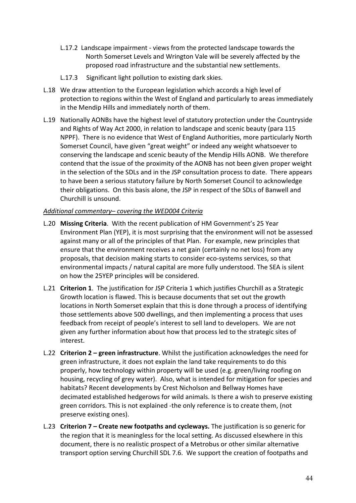- L.17.2 Landscape impairment views from the protected landscape towards the North Somerset Levels and Wrington Vale will be severely affected by the proposed road infrastructure and the substantial new settlements.
- L.17.3 Significant light pollution to existing dark skies.
- L.18 We draw attention to the European legislation which accords a high level of protection to regions within the West of England and particularly to areas immediately in the Mendip Hills and immediately north of them.
- L.19 Nationally AONBs have the highest level of statutory protection under the Countryside and Rights of Way Act 2000, in relation to landscape and scenic beauty (para 115 NPPF). There is no evidence that West of England Authorities, more particularly North Somerset Council, have given "great weight" or indeed any weight whatsoever to conserving the landscape and scenic beauty of the Mendip Hills AONB. We therefore contend that the issue of the proximity of the AONB has not been given proper weight in the selection of the SDLs and in the JSP consultation process to date. There appears to have been a serious statutory failure by North Somerset Council to acknowledge their obligations. On this basis alone, the JSP in respect of the SDLs of Banwell and Churchill is unsound.

## *Additional commentary– covering the WED004 Criteria*

- L.20 Missing Criteria. With the recent publication of HM Government's 25 Year Environment Plan (YEP), it is most surprising that the environment will not be assessed against many or all of the principles of that Plan. For example, new principles that ensure that the environment receives a net gain (certainly no net loss) from any proposals, that decision making starts to consider eco-systems services, so that environmental impacts / natural capital are more fully understood. The SEA is silent on how the 25YEP principles will be considered.
- L.21 **Criterion 1**. The justification for JSP Criteria 1 which justifies Churchill as a Strategic Growth location is flawed. This is because documents that set out the growth locations in North Somerset explain that this is done through a process of identifying those settlements above 500 dwellings, and then implementing a process that uses feedback from receipt of people's interest to sell land to developers. We are not given any further information about how that process led to the strategic sites of interest.
- L.22 **Criterion 2** green infrastructure. Whilst the justification acknowledges the need for green infrastructure, it does not explain the land take requirements to do this properly, how technology within property will be used (e.g. green/living roofing on housing, recycling of grey water). Also, what is intended for mitigation for species and habitats? Recent developments by Crest Nicholson and Bellway Homes have decimated established hedgerows for wild animals. Is there a wish to preserve existing green corridors. This is not explained -the only reference is to create them, (not preserve existing ones).
- L.23 **Criterion 7 Create new footpaths and cycleways.** The justification is so generic for the region that it is meaningless for the local setting. As discussed elsewhere in this document, there is no realistic prospect of a Metrobus or other similar alternative transport option serving Churchill SDL 7.6. We support the creation of footpaths and